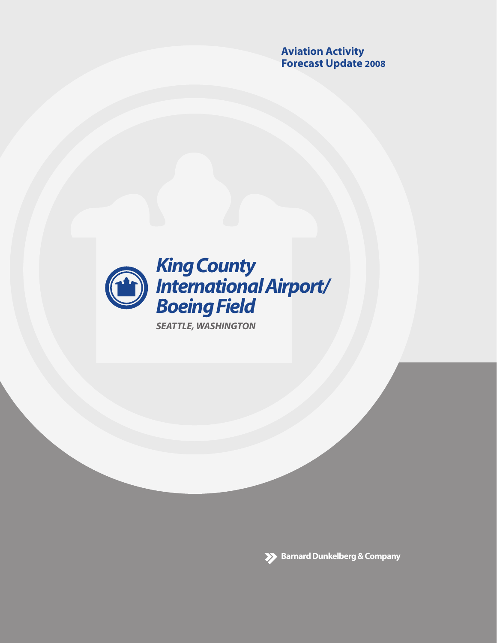**Aviation Activity Forecast Update 2008** 



**SEATTLE, WASHINGTON** 

**Barnard Dunkelberg & Company**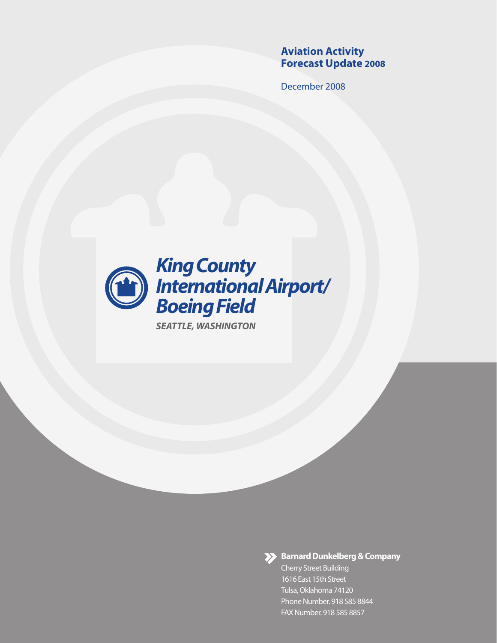# **Aviation Activity Forecast Update 2008**

December 2008



**SEATTLE, WASHINGTON** 



>> Barnard Dunkelberg & Company

**Cherry Street Building** 1616 East 15th Street Tulsa, Oklahoma 74120 Phone Number. 918 585 8844 FAX Number. 918 585 8857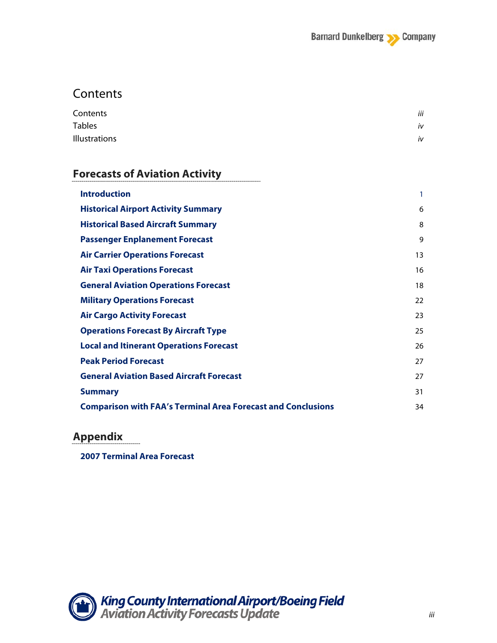# **Contents**

| Contents             | iii |
|----------------------|-----|
| <b>Tables</b>        | iv  |
| <b>Illustrations</b> | iv  |

---------------

## **Forecasts of Aviation Activity**

| <b>Introduction</b>                                                 | 1  |
|---------------------------------------------------------------------|----|
| <b>Historical Airport Activity Summary</b>                          | 6  |
| <b>Historical Based Aircraft Summary</b>                            | 8  |
| <b>Passenger Enplanement Forecast</b>                               | 9  |
| <b>Air Carrier Operations Forecast</b>                              | 13 |
| <b>Air Taxi Operations Forecast</b>                                 | 16 |
| <b>General Aviation Operations Forecast</b>                         | 18 |
| <b>Military Operations Forecast</b>                                 | 22 |
| <b>Air Cargo Activity Forecast</b>                                  | 23 |
| <b>Operations Forecast By Aircraft Type</b>                         | 25 |
| <b>Local and Itinerant Operations Forecast</b>                      | 26 |
| <b>Peak Period Forecast</b>                                         | 27 |
| <b>General Aviation Based Aircraft Forecast</b>                     | 27 |
| <b>Summary</b>                                                      | 31 |
| <b>Comparison with FAA's Terminal Area Forecast and Conclusions</b> | 34 |

# **Appendix**

**2007 Terminal Area Forecast**

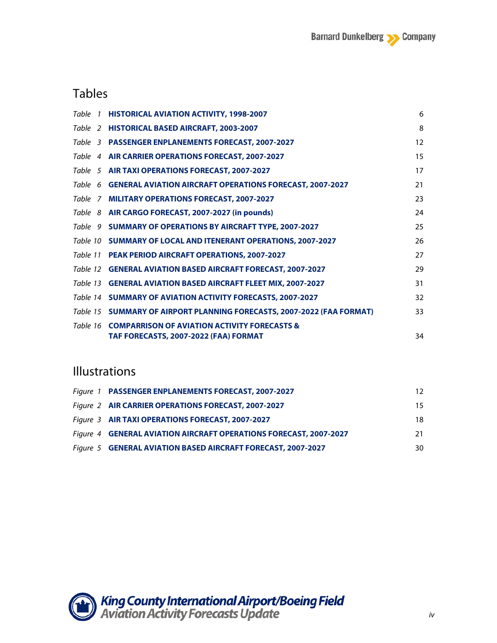# Tables

| Table 1 HISTORICAL AVIATION ACTIVITY, 1998-2007                        | 6  |
|------------------------------------------------------------------------|----|
| Table 2 HISTORICAL BASED AIRCRAFT, 2003-2007                           | 8  |
| Table 3 PASSENGER ENPLANEMENTS FORECAST, 2007-2027                     | 12 |
| Table 4 AIR CARRIER OPERATIONS FORECAST, 2007-2027                     | 15 |
| Table 5 AIR TAXI OPERATIONS FORECAST, 2007-2027                        | 17 |
| Table 6 GENERAL AVIATION AIRCRAFT OPERATIONS FORECAST, 2007-2027       | 21 |
| Table 7 MILITARY OPERATIONS FORECAST, 2007-2027                        | 23 |
| Table 8 AIR CARGO FORECAST, 2007-2027 (in pounds)                      | 24 |
| Table 9 SUMMARY OF OPERATIONS BY AIRCRAFT TYPE, 2007-2027              | 25 |
| Table 10 SUMMARY OF LOCAL AND ITENERANT OPERATIONS, 2007-2027          | 26 |
| Table 11 PEAK PERIOD AIRCRAFT OPERATIONS, 2007-2027                    | 27 |
| Table 12 GENERAL AVIATION BASED AIRCRAFT FORECAST, 2007-2027           | 29 |
| Table 13 GENERAL AVIATION BASED AIRCRAFT FLEET MIX, 2007-2027          | 31 |
| Table 14 SUMMARY OF AVIATION ACTIVITY FORECASTS, 2007-2027             | 32 |
| Table 15 SUMMARY OF AIRPORT PLANNING FORECASTS, 2007-2022 (FAA FORMAT) | 33 |
| Table 16 COMPARRISON OF AVIATION ACTIVITY FORECASTS &                  |    |
| TAF FORECASTS, 2007-2022 (FAA) FORMAT                                  | 34 |

# Illustrations

| Figure 1 PASSENGER ENPLANEMENTS FORECAST, 2007-2027               | 12. |
|-------------------------------------------------------------------|-----|
| Figure 2 AIR CARRIER OPERATIONS FORECAST, 2007-2027               | 15  |
| Figure 3 AIR TAXI OPERATIONS FORECAST, 2007-2027                  | 18  |
| Figure 4 GENERAL AVIATION AIRCRAFT OPERATIONS FORECAST, 2007-2027 | 21. |
| Figure 5 GENERAL AVIATION BASED AIRCRAFT FORECAST, 2007-2027      | 30. |

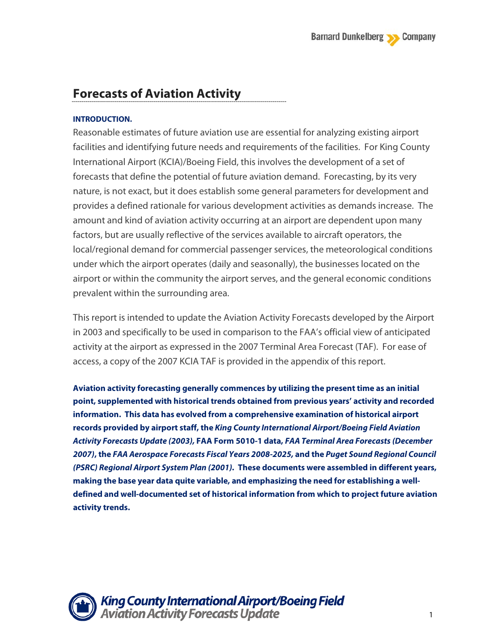# **Forecasts of Aviation Activity**

### **INTRODUCTION.**

Reasonable estimates of future aviation use are essential for analyzing existing airport facilities and identifying future needs and requirements of the facilities. For King County International Airport (KCIA)/Boeing Field, this involves the development of a set of forecasts that define the potential of future aviation demand. Forecasting, by its very nature, is not exact, but it does establish some general parameters for development and provides a defined rationale for various development activities as demands increase. The amount and kind of aviation activity occurring at an airport are dependent upon many factors, but are usually reflective of the services available to aircraft operators, the local/regional demand for commercial passenger services, the meteorological conditions under which the airport operates (daily and seasonally), the businesses located on the airport or within the community the airport serves, and the general economic conditions prevalent within the surrounding area.

This report is intended to update the Aviation Activity Forecasts developed by the Airport in 2003 and specifically to be used in comparison to the FAA's official view of anticipated activity at the airport as expressed in the 2007 Terminal Area Forecast (TAF). For ease of access, a copy of the 2007 KCIA TAF is provided in the appendix of this report.

**Aviation activity forecasting generally commences by utilizing the present time as an initial point, supplemented with historical trends obtained from previous years' activity and recorded information. This data has evolved from a comprehensive examination of historical airport records provided by airport staff, the** *King County International Airport/Boeing Field Aviation Activity Forecasts Update (2003),* **FAA Form 5010-1 data,** *FAA Terminal Area Forecasts (December 2007)***, the** *FAA Aerospace Forecasts Fiscal Years 2008-2025,* **and the** *Puget Sound Regional Council (PSRC) Regional Airport System Plan (2001).* **These documents were assembled in different years, making the base year data quite variable, and emphasizing the need for establishing a welldefined and well-documented set of historical information from which to project future aviation activity trends.**

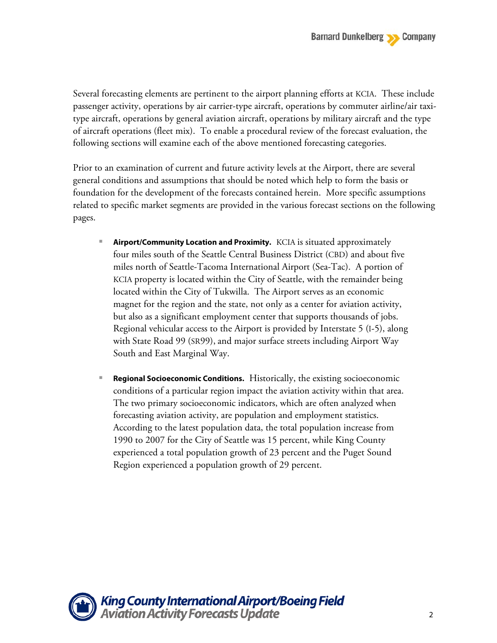Several forecasting elements are pertinent to the airport planning efforts at KCIA. These include passenger activity, operations by air carrier-type aircraft, operations by commuter airline/air taxitype aircraft, operations by general aviation aircraft, operations by military aircraft and the type of aircraft operations (fleet mix). To enable a procedural review of the forecast evaluation, the following sections will examine each of the above mentioned forecasting categories.

Prior to an examination of current and future activity levels at the Airport, there are several general conditions and assumptions that should be noted which help to form the basis or foundation for the development of the forecasts contained herein. More specific assumptions related to specific market segments are provided in the various forecast sections on the following pages.

- **Airport/Community Location and Proximity.** KCIA is situated approximately four miles south of the Seattle Central Business District (CBD) and about five miles north of Seattle-Tacoma International Airport (Sea-Tac). A portion of KCIA property is located within the City of Seattle, with the remainder being located within the City of Tukwilla. The Airport serves as an economic magnet for the region and the state, not only as a center for aviation activity, but also as a significant employment center that supports thousands of jobs. Regional vehicular access to the Airport is provided by Interstate 5 (I-5), along with State Road 99 (SR99), and major surface streets including Airport Way South and East Marginal Way.
- **Regional Socioeconomic Conditions.** Historically, the existing socioeconomic conditions of a particular region impact the aviation activity within that area. The two primary socioeconomic indicators, which are often analyzed when forecasting aviation activity, are population and employment statistics. According to the latest population data, the total population increase from 1990 to 2007 for the City of Seattle was 15 percent, while King County experienced a total population growth of 23 percent and the Puget Sound Region experienced a population growth of 29 percent.

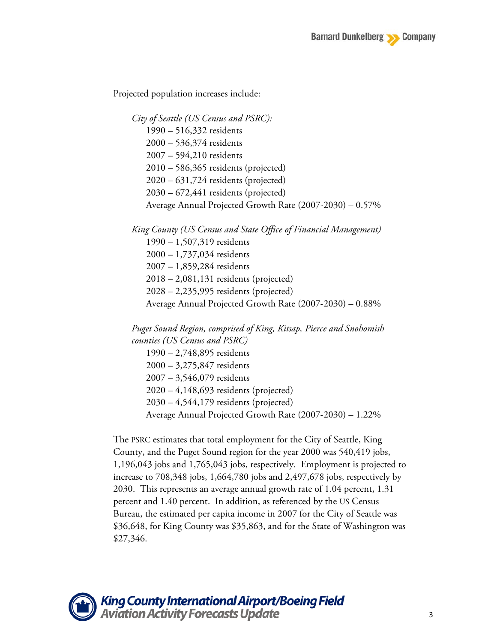Projected population increases include:

*City of Seattle (US Census and PSRC):*  1990 – 516,332 residents 2000 – 536,374 residents 2007 – 594,210 residents 2010 – 586,365 residents (projected) 2020 – 631,724 residents (projected) 2030 – 672,441 residents (projected) Average Annual Projected Growth Rate (2007-2030) – 0.57%

*King County (US Census and State Office of Financial Management)* 1990 – 1,507,319 residents 2000 – 1,737,034 residents 2007 – 1,859,284 residents 2018 – 2,081,131 residents (projected) 2028 – 2,235,995 residents (projected) Average Annual Projected Growth Rate (2007-2030) – 0.88%

*Puget Sound Region, comprised of King, Kitsap, Pierce and Snohomish counties (US Census and PSRC)* 1990 – 2,748,895 residents 2000 – 3,275,847 residents 2007 – 3,546,079 residents 2020 – 4,148,693 residents (projected) 2030 – 4,544,179 residents (projected) Average Annual Projected Growth Rate (2007-2030) – 1.22%

The PSRC estimates that total employment for the City of Seattle, King County, and the Puget Sound region for the year 2000 was 540,419 jobs, 1,196,043 jobs and 1,765,043 jobs, respectively. Employment is projected to increase to 708,348 jobs, 1,664,780 jobs and 2,497,678 jobs, respectively by 2030. This represents an average annual growth rate of 1.04 percent, 1.31 percent and 1.40 percent. In addition, as referenced by the US Census Bureau, the estimated per capita income in 2007 for the City of Seattle was \$36,648, for King County was \$35,863, and for the State of Washington was \$27,346.

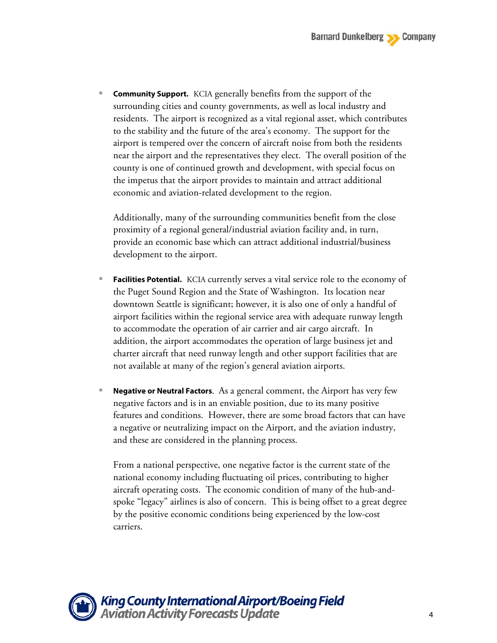**Community Support.** KCIA generally benefits from the support of the surrounding cities and county governments, as well as local industry and residents. The airport is recognized as a vital regional asset, which contributes to the stability and the future of the area's economy. The support for the airport is tempered over the concern of aircraft noise from both the residents near the airport and the representatives they elect. The overall position of the county is one of continued growth and development, with special focus on the impetus that the airport provides to maintain and attract additional economic and aviation-related development to the region.

Additionally, many of the surrounding communities benefit from the close proximity of a regional general/industrial aviation facility and, in turn, provide an economic base which can attract additional industrial/business development to the airport.

- **Facilities Potential.** KCIA currently serves a vital service role to the economy of the Puget Sound Region and the State of Washington. Its location near downtown Seattle is significant; however, it is also one of only a handful of airport facilities within the regional service area with adequate runway length to accommodate the operation of air carrier and air cargo aircraft. In addition, the airport accommodates the operation of large business jet and charter aircraft that need runway length and other support facilities that are not available at many of the region's general aviation airports.
- **Negative or Neutral Factors**. As a general comment, the Airport has very few negative factors and is in an enviable position, due to its many positive features and conditions. However, there are some broad factors that can have a negative or neutralizing impact on the Airport, and the aviation industry, and these are considered in the planning process.

From a national perspective, one negative factor is the current state of the national economy including fluctuating oil prices, contributing to higher aircraft operating costs. The economic condition of many of the hub-andspoke "legacy" airlines is also of concern. This is being offset to a great degree by the positive economic conditions being experienced by the low-cost carriers.

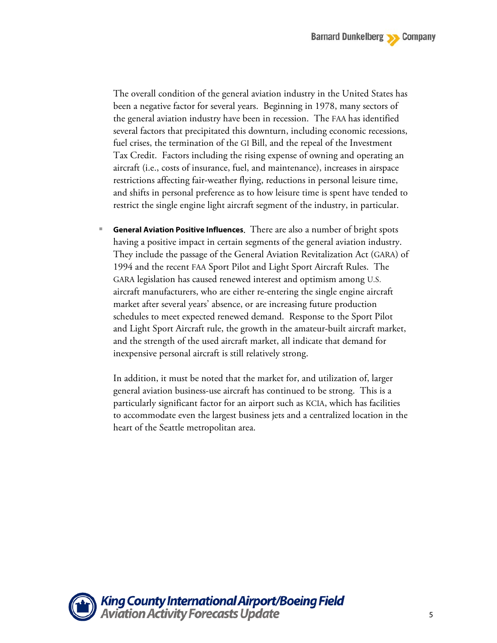The overall condition of the general aviation industry in the United States has been a negative factor for several years. Beginning in 1978, many sectors of the general aviation industry have been in recession. The FAA has identified several factors that precipitated this downturn, including economic recessions, fuel crises, the termination of the GI Bill, and the repeal of the Investment Tax Credit. Factors including the rising expense of owning and operating an aircraft (i.e., costs of insurance, fuel, and maintenance), increases in airspace restrictions affecting fair-weather flying, reductions in personal leisure time, and shifts in personal preference as to how leisure time is spent have tended to restrict the single engine light aircraft segment of the industry, in particular.

 **General Aviation Positive Influences**. There are also a number of bright spots having a positive impact in certain segments of the general aviation industry. They include the passage of the General Aviation Revitalization Act (GARA) of 1994 and the recent FAA Sport Pilot and Light Sport Aircraft Rules. The GARA legislation has caused renewed interest and optimism among U.S. aircraft manufacturers, who are either re-entering the single engine aircraft market after several years' absence, or are increasing future production schedules to meet expected renewed demand. Response to the Sport Pilot and Light Sport Aircraft rule, the growth in the amateur-built aircraft market, and the strength of the used aircraft market, all indicate that demand for inexpensive personal aircraft is still relatively strong.

In addition, it must be noted that the market for, and utilization of, larger general aviation business-use aircraft has continued to be strong. This is a particularly significant factor for an airport such as KCIA, which has facilities to accommodate even the largest business jets and a centralized location in the heart of the Seattle metropolitan area.

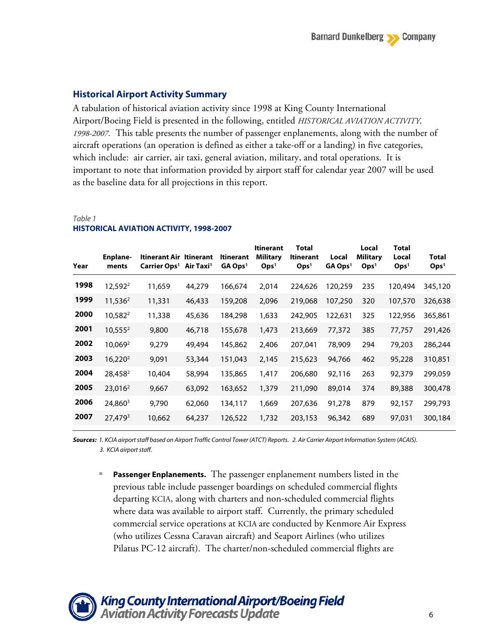### **Historical Airport Activity Summary**

A tabulation of historical aviation activity since 1998 at King County International Airport/Boeing Field is presented in the following, entitled *HISTORICAL AVIATION ACTIVITY, 1998-2007.* This table presents the number of passenger enplanements, along with the number of aircraft operations (an operation is defined as either a take-off or a landing) in five categories, which include: air carrier, air taxi, general aviation, military, and total operations. It is important to note that information provided by airport staff for calendar year 2007 will be used as the baseline data for all projections in this report.

#### *Table 1*

| Year | <b>Enplane-</b><br>ments | Itinerant Air Itinerant<br>Carrier Ops <sup>1</sup> Air Taxi <sup>1</sup> |        | <b>Itinerant</b><br>$GA$ Ops <sup>1</sup> | <b>Itinerant</b><br><b>Military</b><br>Ops <sup>1</sup> | <b>Total</b><br><b>Itinerant</b><br>Ops <sup>1</sup> | Local<br>GA Ops <sup>1</sup> | Local<br><b>Military</b><br>Ops <sup>1</sup> | Total<br>Local<br>Ops <sup>1</sup> | <b>Total</b><br>Ops <sup>1</sup> |
|------|--------------------------|---------------------------------------------------------------------------|--------|-------------------------------------------|---------------------------------------------------------|------------------------------------------------------|------------------------------|----------------------------------------------|------------------------------------|----------------------------------|
| 1998 | 12,592 <sup>2</sup>      | 11,659                                                                    | 44,279 | 166,674                                   | 2,014                                                   | 224,626                                              | 120,259                      | 235                                          | 120,494                            | 345,120                          |
| 1999 | $11,536^2$               | 11,331                                                                    | 46,433 | 159,208                                   | 2,096                                                   | 219,068                                              | 107,250                      | 320                                          | 107,570                            | 326,638                          |
| 2000 | 10,582 <sup>2</sup>      | 11,338                                                                    | 45,636 | 184,298                                   | 1,633                                                   | 242,905                                              | 122,631                      | 325                                          | 122,956                            | 365,861                          |
| 2001 | $10,555^2$               | 9,800                                                                     | 46,718 | 155,678                                   | 1,473                                                   | 213,669                                              | 77,372                       | 385                                          | 77,757                             | 291,426                          |
| 2002 | 10,069 <sup>2</sup>      | 9,279                                                                     | 49,494 | 145,862                                   | 2,406                                                   | 207,041                                              | 78,909                       | 294                                          | 79,203                             | 286,244                          |
| 2003 | $16,220^2$               | 9,091                                                                     | 53,344 | 151,043                                   | 2,145                                                   | 215,623                                              | 94,766                       | 462                                          | 95,228                             | 310,851                          |
| 2004 | 28,458 <sup>2</sup>      | 10,404                                                                    | 58,994 | 135,865                                   | 1,417                                                   | 206,680                                              | 92,116                       | 263                                          | 92,379                             | 299,059                          |
| 2005 | 23,016 <sup>2</sup>      | 9,667                                                                     | 63,092 | 163,652                                   | 1,379                                                   | 211,090                                              | 89,014                       | 374                                          | 89,388                             | 300,478                          |
| 2006 | 24,860 <sup>3</sup>      | 9,790                                                                     | 62,060 | 134,117                                   | 1,669                                                   | 207,636                                              | 91,278                       | 879                                          | 92,157                             | 299,793                          |
| 2007 | 27,479 <sup>3</sup>      | 10,662                                                                    | 64,237 | 126,522                                   | 1,732                                                   | 203,153                                              | 96,342                       | 689                                          | 97,031                             | 300,184                          |
|      |                          |                                                                           |        |                                           |                                                         |                                                      |                              |                                              |                                    |                                  |

### **HISTORICAL AVIATION ACTIVITY, 1998-2007**

*Sources: 1. KCIA airport staff based on Airport Traffic Control Tower (ATCT) Reports. 2. Air Carrier Airport Information System (ACAIS). 3. KCIA airportstaff.*

 **Passenger Enplanements.** The passenger enplanement numbers listed in the previous table include passenger boardings on scheduled commercial flights departing KCIA, along with charters and non-scheduled commercial flights where data was available to airport staff. Currently, the primary scheduled commercial service operations at KCIA are conducted by Kenmore Air Express (who utilizes Cessna Caravan aircraft) and Seaport Airlines (who utilizes Pilatus PC-12 aircraft). The charter/non-scheduled commercial flights are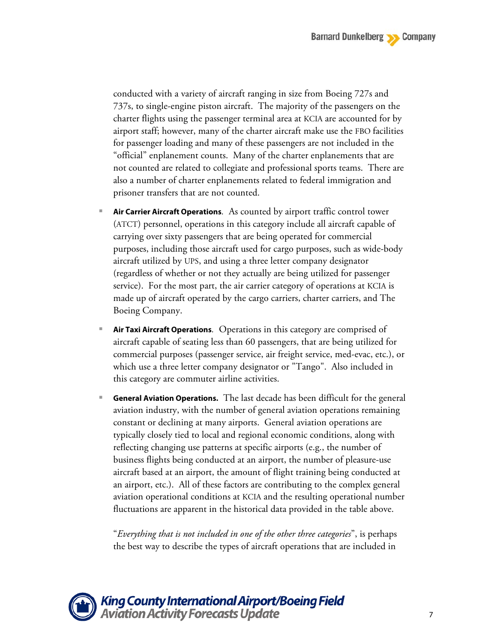conducted with a variety of aircraft ranging in size from Boeing 727s and 737s, to single-engine piston aircraft. The majority of the passengers on the charter flights using the passenger terminal area at KCIA are accounted for by airport staff; however, many of the charter aircraft make use the FBO facilities for passenger loading and many of these passengers are not included in the "official" enplanement counts. Many of the charter enplanements that are not counted are related to collegiate and professional sports teams. There are also a number of charter enplanements related to federal immigration and prisoner transfers that are not counted.

- **Air Carrier Aircraft Operations***.* As counted by airport traffic control tower (ATCT) personnel, operations in this category include all aircraft capable of carrying over sixty passengers that are being operated for commercial purposes, including those aircraft used for cargo purposes, such as wide-body aircraft utilized by UPS, and using a three letter company designator (regardless of whether or not they actually are being utilized for passenger service). For the most part, the air carrier category of operations at KCIA is made up of aircraft operated by the cargo carriers, charter carriers, and The Boeing Company.
- **Air Taxi Aircraft Operations***.* Operations in this category are comprised of aircraft capable of seating less than 60 passengers, that are being utilized for commercial purposes (passenger service, air freight service, med-evac, etc.), or which use a three letter company designator or "Tango". Also included in this category are commuter airline activities.
- **General Aviation Operations.**The last decade has been difficult for the general aviation industry, with the number of general aviation operations remaining constant or declining at many airports. General aviation operations are typically closely tied to local and regional economic conditions, along with reflecting changing use patterns at specific airports (e.g., the number of business flights being conducted at an airport, the number of pleasure-use aircraft based at an airport, the amount of flight training being conducted at an airport, etc.). All of these factors are contributing to the complex general aviation operational conditions at KCIA and the resulting operational number fluctuations are apparent in the historical data provided in the table above.

"*Everything that is not included in one of the other three categories*", is perhaps the best way to describe the types of aircraft operations that are included in

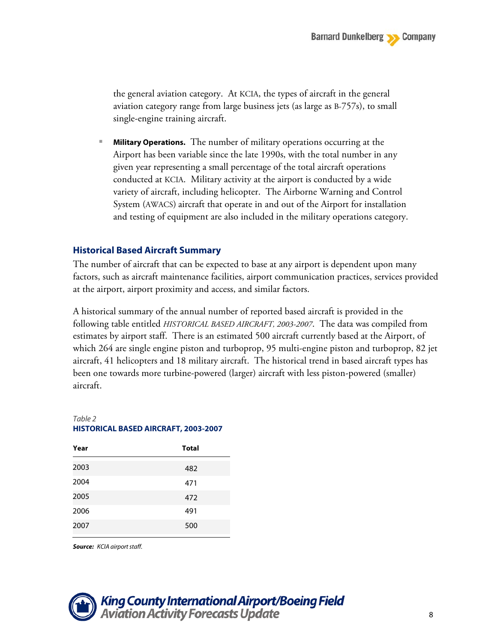the general aviation category. At KCIA, the types of aircraft in the general aviation category range from large business jets (as large as B-757s), to small single-engine training aircraft.

 **Military Operations.** The number of military operations occurring at the Airport has been variable since the late 1990s, with the total number in any given year representing a small percentage of the total aircraft operations conducted at KCIA. Military activity at the airport is conducted by a wide variety of aircraft, including helicopter. The Airborne Warning and Control System (AWACS) aircraft that operate in and out of the Airport for installation and testing of equipment are also included in the military operations category.

### **Historical Based Aircraft Summary**

The number of aircraft that can be expected to base at any airport is dependent upon many factors, such as aircraft maintenance facilities, airport communication practices, services provided at the airport, airport proximity and access, and similar factors.

A historical summary of the annual number of reported based aircraft is provided in the following table entitled *HISTORICAL BASED AIRCRAFT, 2003-2007*. The data was compiled from estimates by airport staff. There is an estimated 500 aircraft currently based at the Airport, of which 264 are single engine piston and turboprop, 95 multi-engine piston and turboprop, 82 jet aircraft, 41 helicopters and 18 military aircraft. The historical trend in based aircraft types has been one towards more turbine-powered (larger) aircraft with less piston-powered (smaller) aircraft.

### *Table 2* **HISTORICAL BASED AIRCRAFT, 2003-2007**

| Year | <b>Total</b> |
|------|--------------|
| 2003 | 482          |
| 2004 | 471          |
| 2005 | 472          |
| 2006 | 491          |
| 2007 | 500          |

*Source: KCIA airport staff.*

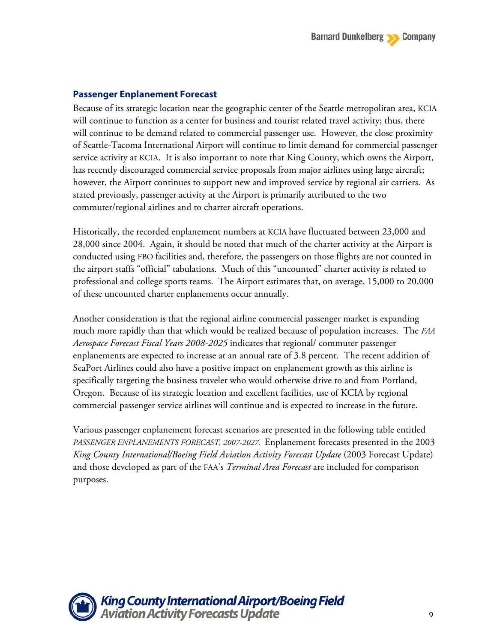## **Passenger Enplanement Forecast**

Because of its strategic location near the geographic center of the Seattle metropolitan area, KCIA will continue to function as a center for business and tourist related travel activity; thus, there will continue to be demand related to commercial passenger use. However, the close proximity of Seattle-Tacoma International Airport will continue to limit demand for commercial passenger service activity at KCIA. It is also important to note that King County, which owns the Airport, has recently discouraged commercial service proposals from major airlines using large aircraft; however, the Airport continues to support new and improved service by regional air carriers. As stated previously, passenger activity at the Airport is primarily attributed to the two commuter/regional airlines and to charter aircraft operations.

Historically, the recorded enplanement numbers at KCIA have fluctuated between 23,000 and 28,000 since 2004. Again, it should be noted that much of the charter activity at the Airport is conducted using FBO facilities and, therefore, the passengers on those flights are not counted in the airport staffs "official" tabulations. Much of this "uncounted" charter activity is related to professional and college sports teams. The Airport estimates that, on average, 15,000 to 20,000 of these uncounted charter enplanements occur annually.

Another consideration is that the regional airline commercial passenger market is expanding much more rapidly than that which would be realized because of population increases. The *FAA Aerospace Forecast Fiscal Years 2008-2025* indicates that regional/ commuter passenger enplanements are expected to increase at an annual rate of 3.8 percent. The recent addition of SeaPort Airlines could also have a positive impact on enplanement growth as this airline is specifically targeting the business traveler who would otherwise drive to and from Portland, Oregon. Because of its strategic location and excellent facilities, use of KCIA by regional commercial passenger service airlines will continue and is expected to increase in the future.

Various passenger enplanement forecast scenarios are presented in the following table entitled *PASSENGER ENPLANEMENTS FORECAST, 2007-2027.* Enplanement forecasts presented in the 2003 *King County International/Boeing Field Aviation Activity Forecast Update* (2003 Forecast Update) and those developed as part of the FAA's *Terminal Area Forecast* are included for comparison purposes.

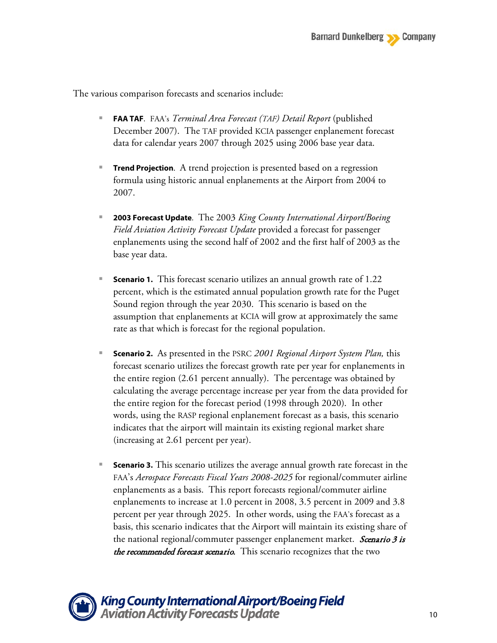The various comparison forecasts and scenarios include:

- **FAA TAF**. FAA's *Terminal Area Forecast (TAF) Detail Report* (published December 2007). The TAF provided KCIA passenger enplanement forecast data for calendar years 2007 through 2025 using 2006 base year data.
- **Trend Projection**. A trend projection is presented based on a regression formula using historic annual enplanements at the Airport from 2004 to 2007.
- **2003 Forecast Update**. The 2003 *King County International Airport/Boeing Field Aviation Activity Forecast Update* provided a forecast for passenger enplanements using the second half of 2002 and the first half of 2003 as the base year data.
- **Scenario 1.** This forecast scenario utilizes an annual growth rate of 1.22 percent, which is the estimated annual population growth rate for the Puget Sound region through the year 2030. This scenario is based on the assumption that enplanements at KCIA will grow at approximately the same rate as that which is forecast for the regional population.
- **Scenario 2.** As presented in the PSRC *2001 Regional Airport System Plan,* this forecast scenario utilizes the forecast growth rate per year for enplanements in the entire region (2.61 percent annually). The percentage was obtained by calculating the average percentage increase per year from the data provided for the entire region for the forecast period (1998 through 2020). In other words, using the RASP regional enplanement forecast as a basis, this scenario indicates that the airport will maintain its existing regional market share (increasing at 2.61 percent per year).
- **Scenario 3.** This scenario utilizes the average annual growth rate forecast in the FAA's *Aerospace Forecasts Fiscal Years 2008-2025* for regional/commuter airline enplanements as a basis. This report forecasts regional/commuter airline enplanements to increase at 1.0 percent in 2008, 3.5 percent in 2009 and 3.8 percent per year through 2025. In other words, using the FAA's forecast as a basis, this scenario indicates that the Airport will maintain its existing share of the national regional/commuter passenger enplanement market. Scenario 3 is the recommended forecast scenario. This scenario recognizes that the two

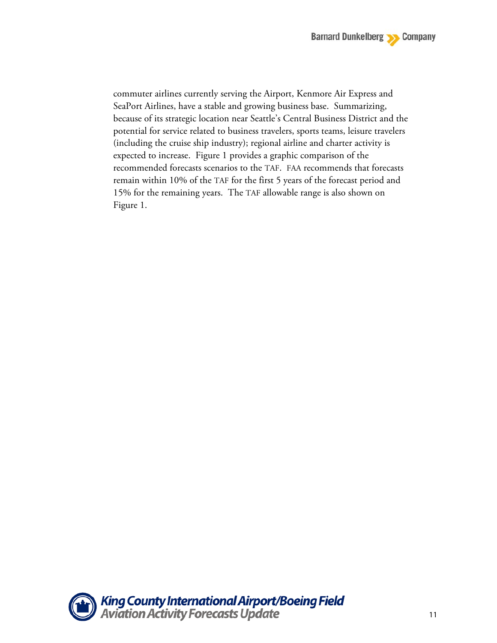commuter airlines currently serving the Airport, Kenmore Air Express and SeaPort Airlines, have a stable and growing business base. Summarizing, because of its strategic location near Seattle's Central Business District and the potential for service related to business travelers, sports teams, leisure travelers (including the cruise ship industry); regional airline and charter activity is expected to increase. Figure 1 provides a graphic comparison of the recommended forecasts scenarios to the TAF. FAA recommends that forecasts remain within 10% of the TAF for the first 5 years of the forecast period and 15% for the remaining years. The TAF allowable range is also shown on Figure 1.

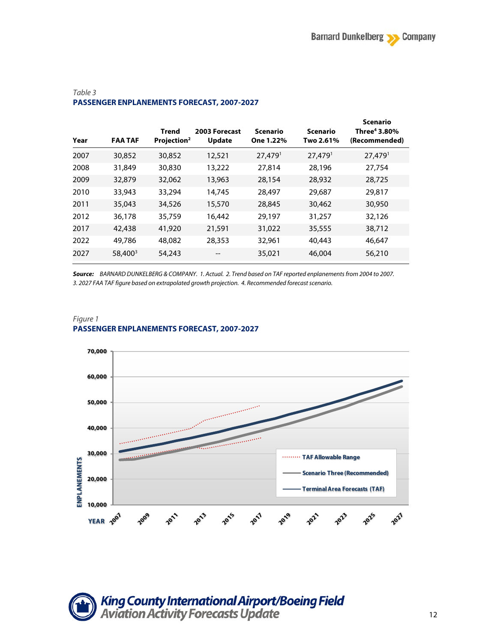| Year | <b>FAA TAF</b>      | Trend<br>Projection <sup>2</sup> | 2003 Forecast<br><b>Update</b> | <b>Scenario</b><br>One 1.22% | <b>Scenario</b><br>Two 2.61% | <b>Scenario</b><br>Three <sup>4</sup> 3.80%<br>(Recommended) |
|------|---------------------|----------------------------------|--------------------------------|------------------------------|------------------------------|--------------------------------------------------------------|
| 2007 | 30,852              | 30,852                           | 12,521                         | $27,479$ <sup>1</sup>        | $27,479$ <sup>1</sup>        | $27,479$ <sup>1</sup>                                        |
| 2008 | 31,849              | 30,830                           | 13,222                         | 27,814                       | 28,196                       | 27.754                                                       |
| 2009 | 32,879              | 32,062                           | 13,963                         | 28,154                       | 28,932                       | 28,725                                                       |
| 2010 | 33,943              | 33,294                           | 14,745                         | 28,497                       | 29,687                       | 29,817                                                       |
| 2011 | 35,043              | 34,526                           | 15,570                         | 28,845                       | 30,462                       | 30,950                                                       |
| 2012 | 36,178              | 35,759                           | 16,442                         | 29,197                       | 31,257                       | 32,126                                                       |
| 2017 | 42,438              | 41,920                           | 21,591                         | 31,022                       | 35,555                       | 38,712                                                       |
| 2022 | 49,786              | 48,082                           | 28,353                         | 32,961                       | 40,443                       | 46,647                                                       |
| 2027 | 58,400 <sup>3</sup> | 54,243                           | --                             | 35,021                       | 46,004                       | 56,210                                                       |

### *Table 3* **PASSENGER ENPLANEMENTS FORECAST, 2007-2027**

*Source: BARNARD DUNKELBERG & COMPANY. 1. Actual. 2. Trend based on TAF reported enplanements from 2004 to 2007. 3. 2027 FAA TAF figure based on extrapolated growth projection. 4. Recommended forecast scenario.*



#### *Figure 1* **PASSENGER ENPLANEMENTS FORECAST, 2007-2027**

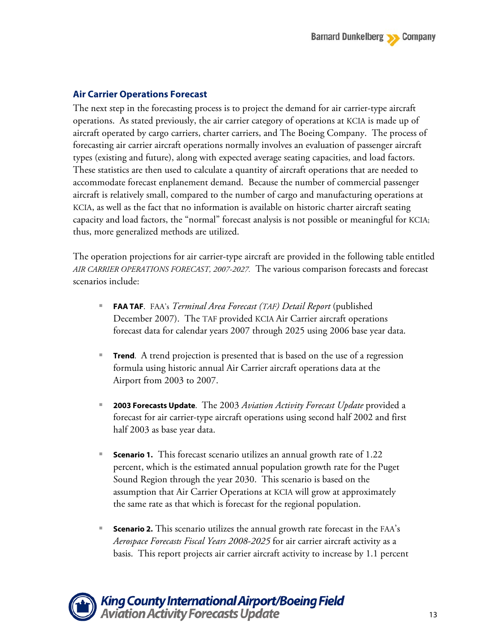## **Air Carrier Operations Forecast**

The next step in the forecasting process is to project the demand for air carrier-type aircraft operations. As stated previously, the air carrier category of operations at KCIA is made up of aircraft operated by cargo carriers, charter carriers, and The Boeing Company. The process of forecasting air carrier aircraft operations normally involves an evaluation of passenger aircraft types (existing and future), along with expected average seating capacities, and load factors. These statistics are then used to calculate a quantity of aircraft operations that are needed to accommodate forecast enplanement demand. Because the number of commercial passenger aircraft is relatively small, compared to the number of cargo and manufacturing operations at KCIA, as well as the fact that no information is available on historic charter aircraft seating capacity and load factors, the "normal" forecast analysis is not possible or meaningful for KCIA; thus, more generalized methods are utilized.

The operation projections for air carrier-type aircraft are provided in the following table entitled *AIR CARRIER OPERATIONS FORECAST, 2007-2027.* The various comparison forecasts and forecast scenarios include:

- **FAA TAF**. FAA's *Terminal Area Forecast (TAF) Detail Report* (published December 2007). The TAF provided KCIA Air Carrier aircraft operations forecast data for calendar years 2007 through 2025 using 2006 base year data.
- **Trend**. A trend projection is presented that is based on the use of a regression formula using historic annual Air Carrier aircraft operations data at the Airport from 2003 to 2007.
- **2003 Forecasts Update**. The 2003 *Aviation Activity Forecast Update* provided a forecast for air carrier-type aircraft operations using second half 2002 and first half 2003 as base year data.
- **Scenario 1.** This forecast scenario utilizes an annual growth rate of 1.22 percent, which is the estimated annual population growth rate for the Puget Sound Region through the year 2030. This scenario is based on the assumption that Air Carrier Operations at KCIA will grow at approximately the same rate as that which is forecast for the regional population.
- **Scenario 2.** This scenario utilizes the annual growth rate forecast in the FAA's *Aerospace Forecasts Fiscal Years 2008-2025* for air carrier aircraft activity as a basis. This report projects air carrier aircraft activity to increase by 1.1 percent

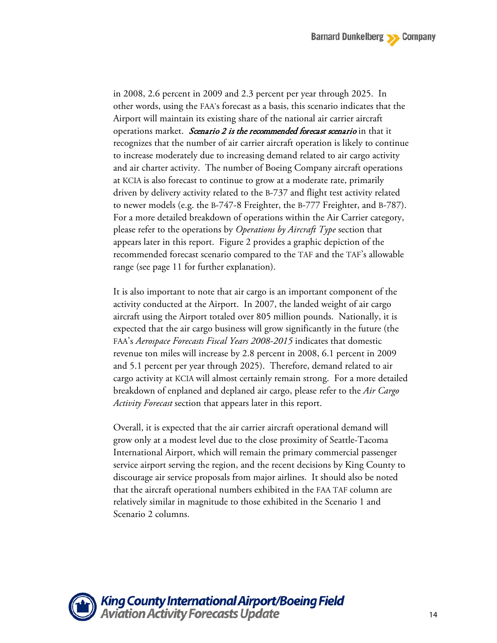in 2008, 2.6 percent in 2009 and 2.3 percent per year through 2025. In other words, using the FAA's forecast as a basis, this scenario indicates that the Airport will maintain its existing share of the national air carrier aircraft operations market. Scenario 2 is the recommended forecast scenario in that it recognizes that the number of air carrier aircraft operation is likely to continue to increase moderately due to increasing demand related to air cargo activity and air charter activity. The number of Boeing Company aircraft operations at KCIA is also forecast to continue to grow at a moderate rate, primarily driven by delivery activity related to the B-737 and flight test activity related to newer models (e.g. the B-747-8 Freighter, the B-777 Freighter, and B-787). For a more detailed breakdown of operations within the Air Carrier category, please refer to the operations by *Operations by Aircraft Type* section that appears later in this report. Figure 2 provides a graphic depiction of the recommended forecast scenario compared to the TAF and the TAF's allowable range (see page 11 for further explanation).

It is also important to note that air cargo is an important component of the activity conducted at the Airport. In 2007, the landed weight of air cargo aircraft using the Airport totaled over 805 million pounds. Nationally, it is expected that the air cargo business will grow significantly in the future (the FAA's *Aerospace Forecasts Fiscal Years 2008-2015* indicates that domestic revenue ton miles will increase by 2.8 percent in 2008, 6.1 percent in 2009 and 5.1 percent per year through 2025). Therefore, demand related to air cargo activity at KCIA will almost certainly remain strong. For a more detailed breakdown of enplaned and deplaned air cargo, please refer to the *Air Cargo Activity Forecast* section that appears later in this report.

Overall, it is expected that the air carrier aircraft operational demand will grow only at a modest level due to the close proximity of Seattle-Tacoma International Airport, which will remain the primary commercial passenger service airport serving the region, and the recent decisions by King County to discourage air service proposals from major airlines. It should also be noted that the aircraft operational numbers exhibited in the FAA TAF column are relatively similar in magnitude to those exhibited in the Scenario 1 and Scenario 2 columns.

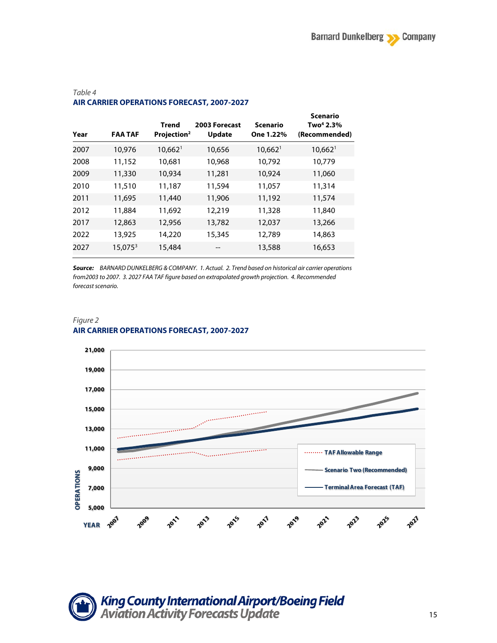**Scenario** 

| Year | <b>FAA TAF</b> | <b>Trend</b><br>Projection <sup>2</sup> | 2003 Forecast<br><b>Update</b> | Scenario<br>One 1.22% | scenario<br>Two <sup>4</sup> 2.3%<br>(Recommended) |
|------|----------------|-----------------------------------------|--------------------------------|-----------------------|----------------------------------------------------|
| 2007 | 10,976         | $10,662$ <sup>1</sup>                   | 10,656                         | $10,662$ <sup>1</sup> | $10,662$ <sup>1</sup>                              |
| 2008 | 11,152         | 10,681                                  | 10,968                         | 10,792                | 10,779                                             |
| 2009 | 11,330         | 10,934                                  | 11,281                         | 10,924                | 11,060                                             |
| 2010 | 11,510         | 11,187                                  | 11,594                         | 11,057                | 11,314                                             |
| 2011 | 11,695         | 11,440                                  | 11,906                         | 11,192                | 11,574                                             |
| 2012 | 11,884         | 11,692                                  | 12,219                         | 11,328                | 11,840                                             |
| 2017 | 12,863         | 12,956                                  | 13,782                         | 12,037                | 13,266                                             |
| 2022 | 13,925         | 14,220                                  | 15,345                         | 12,789                | 14,863                                             |
| 2027 | $15,075^3$     | 15,484                                  |                                | 13,588                | 16,653                                             |
|      |                |                                         |                                |                       |                                                    |

#### *Table 4* **AIR CARRIER OPERATIONS FORECAST, 2007-2027**

*Source: BARNARD DUNKELBERG & COMPANY. 1. Actual. 2. Trend based on historical air carrier operations from2003 to 2007. 3. 2027 FAA TAF figure based on extrapolated growth projection. 4. Recommended forecast scenario.*

#### *Figure 2* **AIR CARRIER OPERATIONS FORECAST, 2007-2027**



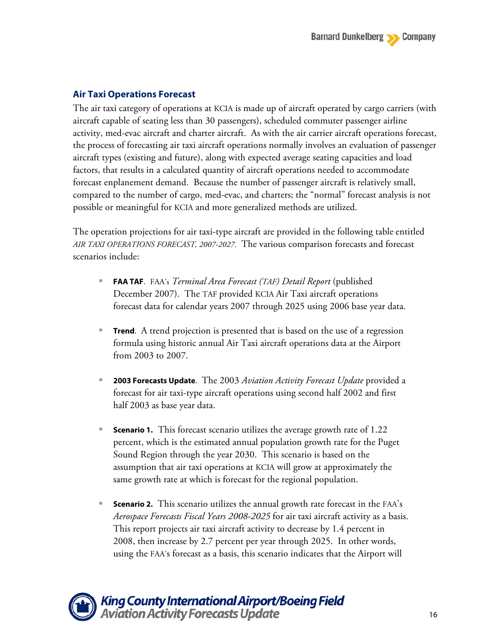## **Air Taxi Operations Forecast**

The air taxi category of operations at KCIA is made up of aircraft operated by cargo carriers (with aircraft capable of seating less than 30 passengers), scheduled commuter passenger airline activity, med-evac aircraft and charter aircraft. As with the air carrier aircraft operations forecast, the process of forecasting air taxi aircraft operations normally involves an evaluation of passenger aircraft types (existing and future), along with expected average seating capacities and load factors, that results in a calculated quantity of aircraft operations needed to accommodate forecast enplanement demand. Because the number of passenger aircraft is relatively small, compared to the number of cargo, med-evac, and charters; the "normal" forecast analysis is not possible or meaningful for KCIA and more generalized methods are utilized.

The operation projections for air taxi-type aircraft are provided in the following table entitled *AIR TAXI OPERATIONS FORECAST, 2007-2027.* The various comparison forecasts and forecast scenarios include:

- **FAA TAF**. FAA's *Terminal Area Forecast (TAF) Detail Report* (published December 2007). The TAF provided KCIA Air Taxi aircraft operations forecast data for calendar years 2007 through 2025 using 2006 base year data.
- **Trend**. A trend projection is presented that is based on the use of a regression formula using historic annual Air Taxi aircraft operations data at the Airport from 2003 to 2007.
- **2003 Forecasts Update**. The 2003 *Aviation Activity Forecast Update* provided a forecast for air taxi-type aircraft operations using second half 2002 and first half 2003 as base year data.
- **Scenario 1.** This forecast scenario utilizes the average growth rate of 1.22 percent, which is the estimated annual population growth rate for the Puget Sound Region through the year 2030. This scenario is based on the assumption that air taxi operations at KCIA will grow at approximately the same growth rate at which is forecast for the regional population.
- **Scenario 2.** This scenario utilizes the annual growth rate forecast in the FAA's *Aerospace Forecasts Fiscal Years 2008-2025* for air taxi aircraft activity as a basis. This report projects air taxi aircraft activity to decrease by 1.4 percent in 2008, then increase by 2.7 percent per year through 2025. In other words, using the FAA's forecast as a basis, this scenario indicates that the Airport will

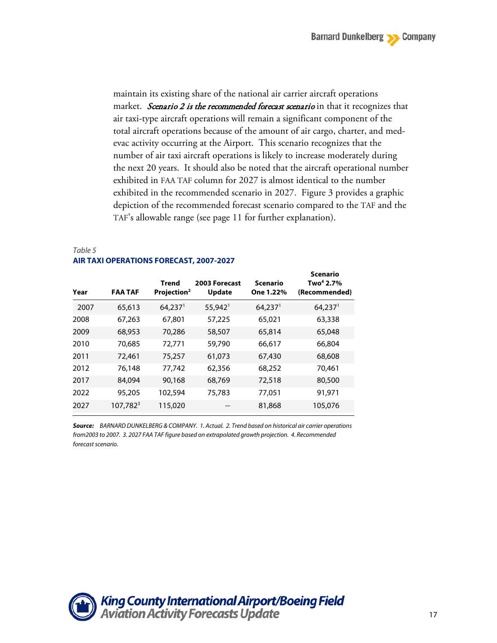maintain its existing share of the national air carrier aircraft operations market. Scenario 2 is the recommended forecast scenario in that it recognizes that air taxi-type aircraft operations will remain a significant component of the total aircraft operations because of the amount of air cargo, charter, and medevac activity occurring at the Airport. This scenario recognizes that the number of air taxi aircraft operations is likely to increase moderately during the next 20 years. It should also be noted that the aircraft operational number exhibited in FAA TAF column for 2027 is almost identical to the number exhibited in the recommended scenario in 2027. Figure 3 provides a graphic depiction of the recommended forecast scenario compared to the TAF and the TAF's allowable range (see page 11 for further explanation).

### *Table 5* **AIR TAXI OPERATIONS FORECAST, 2007-2027**

| Year | <b>FAA TAF</b>       | Trend<br>Projection <sup>2</sup> | 2003 Forecast<br><b>Update</b> | Scenario<br>One 1.22% | Scenario<br>Two <sup>4</sup> 2.7%<br>(Recommended) |
|------|----------------------|----------------------------------|--------------------------------|-----------------------|----------------------------------------------------|
| 2007 | 65,613               | $64,237$ <sup>1</sup>            | $55,942$ <sup>1</sup>          | $64,237$ <sup>1</sup> | $64,237$ <sup>1</sup>                              |
| 2008 | 67,263               | 67,801                           | 57,225                         | 65,021                | 63,338                                             |
| 2009 | 68,953               | 70,286                           | 58,507                         | 65,814                | 65,048                                             |
| 2010 | 70.685               | 72,771                           | 59,790                         | 66,617                | 66,804                                             |
| 2011 | 72,461               | 75,257                           | 61,073                         | 67,430                | 68,608                                             |
| 2012 | 76,148               | 77,742                           | 62,356                         | 68,252                | 70,461                                             |
| 2017 | 84,094               | 90,168                           | 68,769                         | 72,518                | 80,500                                             |
| 2022 | 95,205               | 102,594                          | 75,783                         | 77,051                | 91,971                                             |
| 2027 | 107,782 <sup>3</sup> | 115,020                          |                                | 81,868                | 105,076                                            |

*Source: BARNARD DUNKELBERG & COMPANY. 1. Actual. 2. Trend based on historical air carrier operations from2003 to 2007. 3. 2027 FAA TAF figure based on extrapolated growth projection. 4. Recommended forecast scenario.*

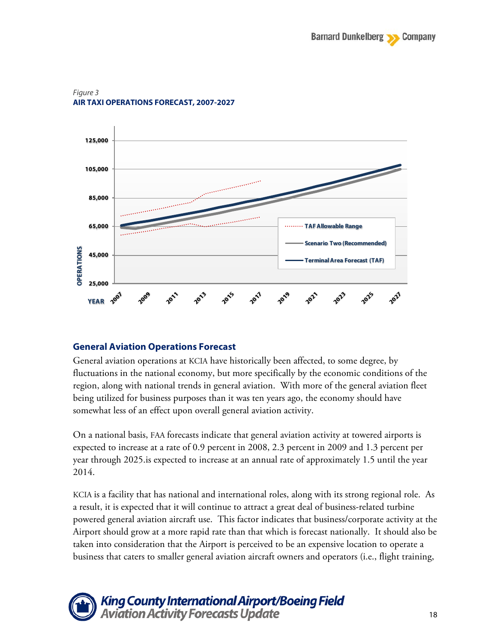

#### *Figure 3* **AIR TAXI OPERATIONS FORECAST, 2007-2027**

### **General Aviation Operations Forecast**

General aviation operations at KCIA have historically been affected, to some degree, by fluctuations in the national economy, but more specifically by the economic conditions of the region, along with national trends in general aviation. With more of the general aviation fleet being utilized for business purposes than it was ten years ago, the economy should have somewhat less of an effect upon overall general aviation activity.

On a national basis, FAA forecasts indicate that general aviation activity at towered airports is expected to increase at a rate of 0.9 percent in 2008, 2.3 percent in 2009 and 1.3 percent per year through 2025.is expected to increase at an annual rate of approximately 1.5 until the year 2014.

KCIA is a facility that has national and international roles, along with its strong regional role. As a result, it is expected that it will continue to attract a great deal of business-related turbine powered general aviation aircraft use. This factor indicates that business/corporate activity at the Airport should grow at a more rapid rate than that which is forecast nationally. It should also be taken into consideration that the Airport is perceived to be an expensive location to operate a business that caters to smaller general aviation aircraft owners and operators (i.e., flight training,

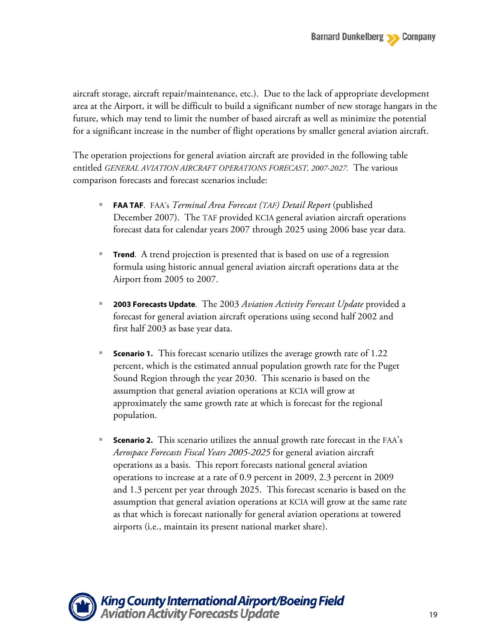aircraft storage, aircraft repair/maintenance, etc.). Due to the lack of appropriate development area at the Airport, it will be difficult to build a significant number of new storage hangars in the future, which may tend to limit the number of based aircraft as well as minimize the potential for a significant increase in the number of flight operations by smaller general aviation aircraft.

The operation projections for general aviation aircraft are provided in the following table entitled *GENERAL AVIATION AIRCRAFT OPERATIONS FORECAST, 2007-2027.* The various comparison forecasts and forecast scenarios include:

- **FAA TAF**. FAA's *Terminal Area Forecast (TAF) Detail Report* (published December 2007). The TAF provided KCIA general aviation aircraft operations forecast data for calendar years 2007 through 2025 using 2006 base year data.
- **Trend**. A trend projection is presented that is based on use of a regression formula using historic annual general aviation aircraft operations data at the Airport from 2005 to 2007.
- **2003 Forecasts Update**. The 2003 *Aviation Activity Forecast Update* provided a forecast for general aviation aircraft operations using second half 2002 and first half 2003 as base year data.
- **Scenario 1.** This forecast scenario utilizes the average growth rate of 1.22 percent, which is the estimated annual population growth rate for the Puget Sound Region through the year 2030. This scenario is based on the assumption that general aviation operations at KCIA will grow at approximately the same growth rate at which is forecast for the regional population.
- **Scenario 2.** This scenario utilizes the annual growth rate forecast in the FAA's *Aerospace Forecasts Fiscal Years 2005-2025* for general aviation aircraft operations as a basis. This report forecasts national general aviation operations to increase at a rate of 0.9 percent in 2009, 2.3 percent in 2009 and 1.3 percent per year through 2025. This forecast scenario is based on the assumption that general aviation operations at KCIA will grow at the same rate as that which is forecast nationally for general aviation operations at towered airports (i.e., maintain its present national market share).

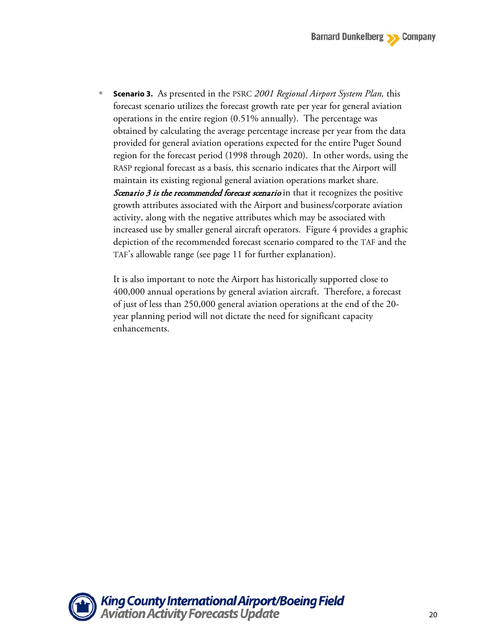**Scenario 3.** As presented in the PSRC *2001 Regional Airport System Plan,* this forecast scenario utilizes the forecast growth rate per year for general aviation operations in the entire region (0.51% annually). The percentage was obtained by calculating the average percentage increase per year from the data provided for general aviation operations expected for the entire Puget Sound region for the forecast period (1998 through 2020). In other words, using the RASP regional forecast as a basis, this scenario indicates that the Airport will maintain its existing regional general aviation operations market share. Scenario  $\beta$  is the recommended forecast scenario in that it recognizes the positive growth attributes associated with the Airport and business/corporate aviation activity, along with the negative attributes which may be associated with increased use by smaller general aircraft operators. Figure 4 provides a graphic depiction of the recommended forecast scenario compared to the TAF and the TAF's allowable range (see page 11 for further explanation).

It is also important to note the Airport has historically supported close to 400,000 annual operations by general aviation aircraft. Therefore, a forecast of just of less than 250,000 general aviation operations at the end of the 20 year planning period will not dictate the need for significant capacity enhancements.

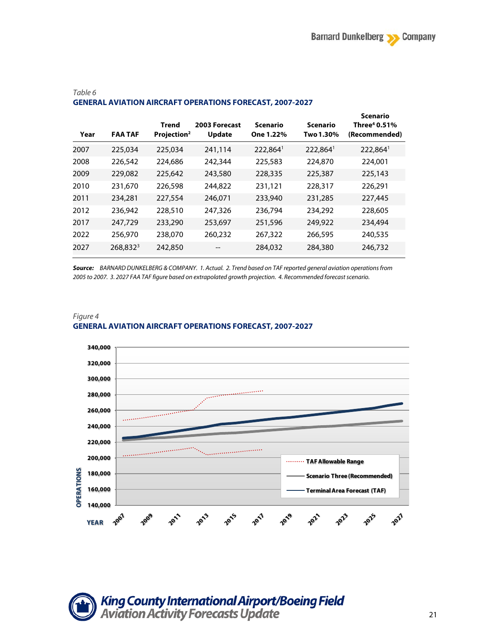| Year | <b>FAA TAF</b> | Trend<br>Projection <sup>2</sup> | 2003 Forecast<br><b>Update</b> | <b>Scenario</b><br>One 1.22% | <b>Scenario</b><br>Two 1.30% | <b>Scenario</b><br>Three <sup>4</sup> 0.51%<br>(Recommended) |
|------|----------------|----------------------------------|--------------------------------|------------------------------|------------------------------|--------------------------------------------------------------|
| 2007 | 225,034        | 225,034                          | 241,114                        | 222,8641                     | 222,864                      | 222,8641                                                     |
| 2008 | 226,542        | 224,686                          | 242,344                        | 225,583                      | 224,870                      | 224,001                                                      |
| 2009 | 229,082        | 225,642                          | 243,580                        | 228,335                      | 225,387                      | 225,143                                                      |
| 2010 | 231,670        | 226,598                          | 244,822                        | 231,121                      | 228,317                      | 226,291                                                      |
| 2011 | 234,281        | 227,554                          | 246,071                        | 233,940                      | 231,285                      | 227,445                                                      |
| 2012 | 236,942        | 228,510                          | 247,326                        | 236,794                      | 234,292                      | 228,605                                                      |
| 2017 | 247,729        | 233,290                          | 253,697                        | 251,596                      | 249,922                      | 234,494                                                      |
| 2022 | 256,970        | 238,070                          | 260,232                        | 267,322                      | 266,595                      | 240,535                                                      |
| 2027 | $268,832^3$    | 242,850                          | --                             | 284,032                      | 284,380                      | 246,732                                                      |

#### *Table 6* **GENERAL AVIATION AIRCRAFT OPERATIONS FORECAST, 2007-2027**

*Source: BARNARD DUNKELBERG & COMPANY. 1. Actual. 2. Trend based on TAF reported general aviation operations from 2005 to 2007. 3. 2027 FAA TAF figure based on extrapolated growth projection. 4. Recommended forecast scenario.*



#### *Figure 4* **GENERAL AVIATION AIRCRAFT OPERATIONS FORECAST, 2007-2027**

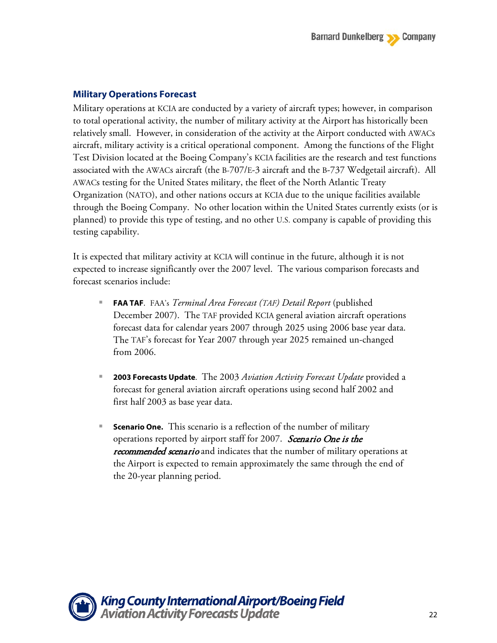### **Military Operations Forecast**

Military operations at KCIA are conducted by a variety of aircraft types; however, in comparison to total operational activity, the number of military activity at the Airport has historically been relatively small. However, in consideration of the activity at the Airport conducted with AWACs aircraft, military activity is a critical operational component. Among the functions of the Flight Test Division located at the Boeing Company's KCIA facilities are the research and test functions associated with the AWACs aircraft (the B-707/E-3 aircraft and the B-737 Wedgetail aircraft). All AWACs testing for the United States military, the fleet of the North Atlantic Treaty Organization (NATO), and other nations occurs at KCIA due to the unique facilities available through the Boeing Company. No other location within the United States currently exists (or is planned) to provide this type of testing, and no other U.S. company is capable of providing this testing capability.

It is expected that military activity at KCIA will continue in the future, although it is not expected to increase significantly over the 2007 level. The various comparison forecasts and forecast scenarios include:

- **FAA TAF**. FAA's *Terminal Area Forecast (TAF) Detail Report* (published December 2007). The TAF provided KCIA general aviation aircraft operations forecast data for calendar years 2007 through 2025 using 2006 base year data. The TAF's forecast for Year 2007 through year 2025 remained un-changed from 2006.
- **2003 Forecasts Update**. The 2003 *Aviation Activity Forecast Update* provided a forecast for general aviation aircraft operations using second half 2002 and first half 2003 as base year data.
- **Scenario One.** This scenario is a reflection of the number of military operations reported by airport staff for 2007. Scenario One is the recommended scenario and indicates that the number of military operations at the Airport is expected to remain approximately the same through the end of the 20-year planning period.

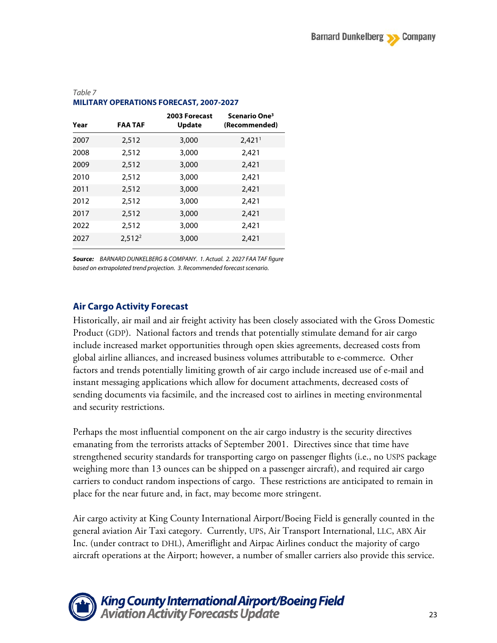| Year | <b>FAA TAF</b> | 2003 Forecast<br><b>Update</b> | Scenario One <sup>3</sup><br>(Recommended) |
|------|----------------|--------------------------------|--------------------------------------------|
| 2007 | 2,512          | 3,000                          | 2,421 <sup>1</sup>                         |
| 2008 | 2,512          | 3,000                          | 2,421                                      |
| 2009 | 2,512          | 3,000                          | 2,421                                      |
| 2010 | 2,512          | 3,000                          | 2.421                                      |
| 2011 | 2,512          | 3,000                          | 2,421                                      |
| 2012 | 2.512          | 3,000                          | 2,421                                      |
| 2017 | 2,512          | 3,000                          | 2,421                                      |
| 2022 | 2,512          | 3,000                          | 2,421                                      |
| 2027 | $2,512^2$      | 3,000                          | 2,421                                      |

### *Table 7* **MILITARY OPERATIONS FORECAST, 2007-2027**

*Source: BARNARD DUNKELBERG & COMPANY. 1. Actual. 2. 2027 FAA TAF figure based on extrapolated trend projection. 3. Recommended forecast scenario.*

## **Air Cargo Activity Forecast**

Historically, air mail and air freight activity has been closely associated with the Gross Domestic Product (GDP). National factors and trends that potentially stimulate demand for air cargo include increased market opportunities through open skies agreements, decreased costs from global airline alliances, and increased business volumes attributable to e-commerce. Other factors and trends potentially limiting growth of air cargo include increased use of e-mail and instant messaging applications which allow for document attachments, decreased costs of sending documents via facsimile, and the increased cost to airlines in meeting environmental and security restrictions.

Perhaps the most influential component on the air cargo industry is the security directives emanating from the terrorists attacks of September 2001. Directives since that time have strengthened security standards for transporting cargo on passenger flights (i.e., no USPS package weighing more than 13 ounces can be shipped on a passenger aircraft), and required air cargo carriers to conduct random inspections of cargo. These restrictions are anticipated to remain in place for the near future and, in fact, may become more stringent.

Air cargo activity at King County International Airport/Boeing Field is generally counted in the general aviation Air Taxi category. Currently, UPS, Air Transport International, LLC, ABX Air Inc. (under contract to DHL), Ameriflight and Airpac Airlines conduct the majority of cargo aircraft operations at the Airport; however, a number of smaller carriers also provide this service.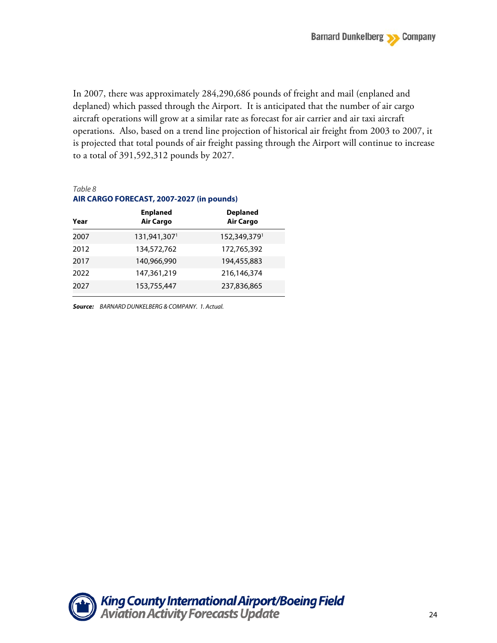In 2007, there was approximately 284,290,686 pounds of freight and mail (enplaned and deplaned) which passed through the Airport. It is anticipated that the number of air cargo aircraft operations will grow at a similar rate as forecast for air carrier and air taxi aircraft operations. Also, based on a trend line projection of historical air freight from 2003 to 2007, it is projected that total pounds of air freight passing through the Airport will continue to increase to a total of 391,592,312 pounds by 2027.

#### *Table 8*

#### **AIR CARGO FORECAST, 2007-2027 (in pounds) Enplaned Deplaned**

| Year | <b>Air Cargo</b> | <b>Air Cargo</b> |
|------|------------------|------------------|
| 2007 | 131,941,3071     | 152,349,3791     |
| 2012 | 134,572,762      | 172,765,392      |
| 2017 | 140,966,990      | 194,455,883      |
| 2022 | 147,361,219      | 216,146,374      |
| 2027 | 153,755,447      | 237,836,865      |

*Source: BARNARD DUNKELBERG & COMPANY. 1. Actual.*

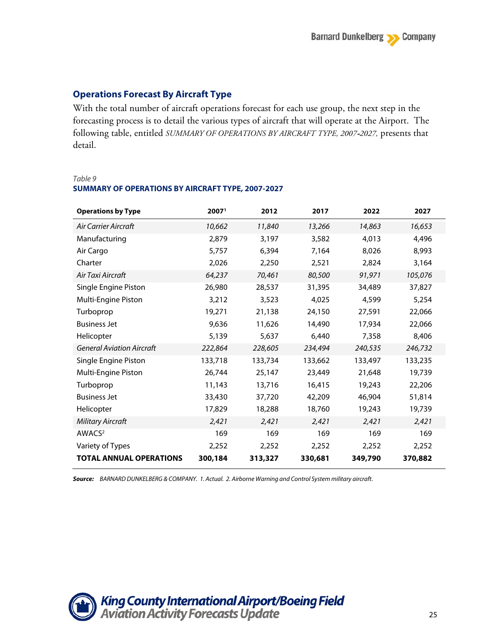## **Operations Forecast By Aircraft Type**

With the total number of aircraft operations forecast for each use group, the next step in the forecasting process is to detail the various types of aircraft that will operate at the Airport. The following table, entitled *SUMMARY OF OPERATIONS BY AIRCRAFT TYPE, 2007*-*2027,* presents that detail.

#### *Table 9* **SUMMARY OF OPERATIONS BY AIRCRAFT TYPE, 2007-2027**

| <b>Operations by Type</b>        | 2007 <sup>1</sup> | 2012    | 2017    | 2022    | 2027    |
|----------------------------------|-------------------|---------|---------|---------|---------|
| Air Carrier Aircraft             | 10,662            | 11,840  | 13,266  | 14,863  | 16,653  |
| Manufacturing                    | 2,879             | 3,197   | 3,582   | 4.013   | 4,496   |
| Air Cargo                        | 5,757             | 6,394   | 7,164   | 8,026   | 8,993   |
| Charter                          | 2,026             | 2,250   | 2,521   | 2,824   | 3,164   |
| Air Taxi Aircraft                | 64,237            | 70,461  | 80,500  | 91,971  | 105,076 |
| Single Engine Piston             | 26,980            | 28,537  | 31,395  | 34,489  | 37,827  |
| Multi-Engine Piston              | 3,212             | 3,523   | 4,025   | 4,599   | 5,254   |
| Turboprop                        | 19,271            | 21,138  | 24,150  | 27,591  | 22,066  |
| <b>Business Jet</b>              | 9,636             | 11,626  | 14,490  | 17,934  | 22,066  |
| Helicopter                       | 5,139             | 5,637   | 6,440   | 7,358   | 8,406   |
| <b>General Aviation Aircraft</b> | 222,864           | 228,605 | 234,494 | 240,535 | 246,732 |
| Single Engine Piston             | 133,718           | 133,734 | 133,662 | 133,497 | 133,235 |
| Multi-Engine Piston              | 26,744            | 25,147  | 23,449  | 21,648  | 19,739  |
| Turboprop                        | 11,143            | 13,716  | 16,415  | 19,243  | 22,206  |
| <b>Business Jet</b>              | 33,430            | 37,720  | 42,209  | 46,904  | 51,814  |
| Helicopter                       | 17,829            | 18,288  | 18,760  | 19,243  | 19,739  |
| <b>Military Aircraft</b>         | 2,421             | 2,421   | 2,421   | 2,421   | 2,421   |
| AWACS <sup>2</sup>               | 169               | 169     | 169     | 169     | 169     |
| Variety of Types                 | 2,252             | 2,252   | 2,252   | 2,252   | 2,252   |
| <b>TOTAL ANNUAL OPERATIONS</b>   | 300,184           | 313,327 | 330,681 | 349,790 | 370,882 |

*Source: BARNARD DUNKELBERG & COMPANY. 1. Actual. 2. Airborne Warning and Control System military aircraft.*

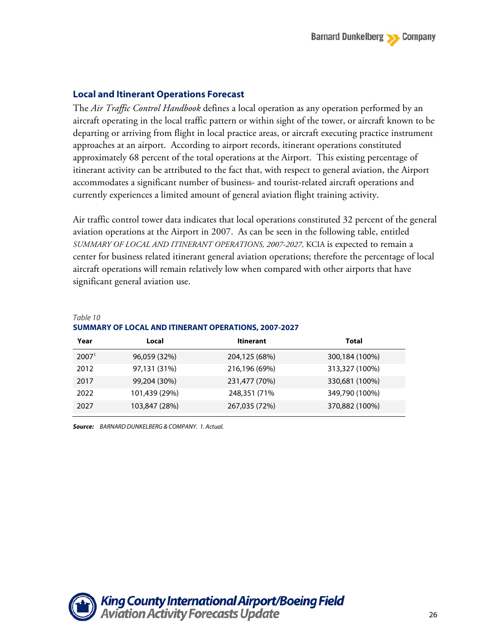### **Local and Itinerant Operations Forecast**

The *Air Traffic Control Handbook* defines a local operation as any operation performed by an aircraft operating in the local traffic pattern or within sight of the tower, or aircraft known to be departing or arriving from flight in local practice areas, or aircraft executing practice instrument approaches at an airport. According to airport records, itinerant operations constituted approximately 68 percent of the total operations at the Airport. This existing percentage of itinerant activity can be attributed to the fact that, with respect to general aviation, the Airport accommodates a significant number of business- and tourist-related aircraft operations and currently experiences a limited amount of general aviation flight training activity.

Air traffic control tower data indicates that local operations constituted 32 percent of the general aviation operations at the Airport in 2007. As can be seen in the following table, entitled *SUMMARY OF LOCAL AND ITINERANT OPERATIONS, 2007-2027,* KCIA is expected to remain a center for business related itinerant general aviation operations; therefore the percentage of local aircraft operations will remain relatively low when compared with other airports that have significant general aviation use.

### *Table 10* **SUMMARY OF LOCAL AND ITINERANT OPERATIONS, 2007-2027**

| Year              | Local         | <b>Itinerant</b> | Total          |
|-------------------|---------------|------------------|----------------|
| 2007 <sup>1</sup> | 96,059 (32%)  | 204,125 (68%)    | 300,184 (100%) |
| 2012              | 97,131 (31%)  | 216,196 (69%)    | 313,327 (100%) |
| 2017              | 99,204 (30%)  | 231,477 (70%)    | 330,681 (100%) |
| 2022              | 101,439 (29%) | 248,351 (71%)    | 349,790 (100%) |
| 2027              | 103,847 (28%) | 267,035 (72%)    | 370,882 (100%) |

*Source: BARNARD DUNKELBERG & COMPANY. 1. Actual.*

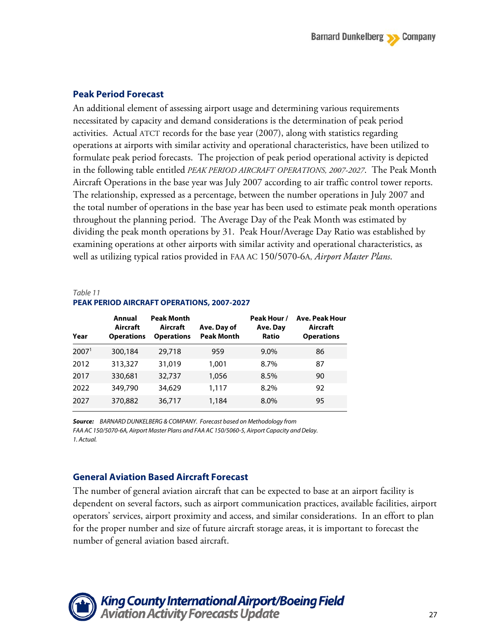### **Peak Period Forecast**

An additional element of assessing airport usage and determining various requirements necessitated by capacity and demand considerations is the determination of peak period activities. Actual ATCT records for the base year (2007), along with statistics regarding operations at airports with similar activity and operational characteristics, have been utilized to formulate peak period forecasts. The projection of peak period operational activity is depicted in the following table entitled *PEAK PERIOD AIRCRAFT OPERATIONS, 2007-2027*. The Peak Month Aircraft Operations in the base year was July 2007 according to air traffic control tower reports. The relationship, expressed as a percentage, between the number operations in July 2007 and the total number of operations in the base year has been used to estimate peak month operations throughout the planning period. The Average Day of the Peak Month was estimated by dividing the peak month operations by 31. Peak Hour/Average Day Ratio was established by examining operations at other airports with similar activity and operational characteristics, as well as utilizing typical ratios provided in FAA AC 150/5070-6A, *Airport Master Plans*.

### *Table 11* **PEAK PERIOD AIRCRAFT OPERATIONS, 2007-2027**

| Year              | Annual<br>Aircraft<br><b>Operations</b> | <b>Peak Month</b><br>Aircraft<br><b>Operations</b> | Ave. Day of<br><b>Peak Month</b> | Peak Hour /<br>Ave. Day<br><b>Ratio</b> | <b>Ave. Peak Hour</b><br>Aircraft<br><b>Operations</b> |
|-------------------|-----------------------------------------|----------------------------------------------------|----------------------------------|-----------------------------------------|--------------------------------------------------------|
| 2007 <sup>1</sup> | 300,184                                 | 29,718                                             | 959                              | 9.0%                                    | 86                                                     |
| 2012              | 313,327                                 | 31,019                                             | 1.001                            | 8.7%                                    | 87                                                     |
| 2017              | 330,681                                 | 32,737                                             | 1,056                            | 8.5%                                    | 90                                                     |
| 2022              | 349,790                                 | 34,629                                             | 1,117                            | 8.2%                                    | 92                                                     |
| 2027              | 370,882                                 | 36,717                                             | 1,184                            | 8.0%                                    | 95                                                     |

*Source: BARNARD DUNKELBERG & COMPANY. Forecast based on Methodology from FAA AC 150/5070-6A, Airport Master Plans and FAA AC 150/5060-5, Airport Capacity and Delay. 1. Actual.*

### **General Aviation Based Aircraft Forecast**

The number of general aviation aircraft that can be expected to base at an airport facility is dependent on several factors, such as airport communication practices, available facilities, airport operators' services, airport proximity and access, and similar considerations. In an effort to plan for the proper number and size of future aircraft storage areas, it is important to forecast the number of general aviation based aircraft.

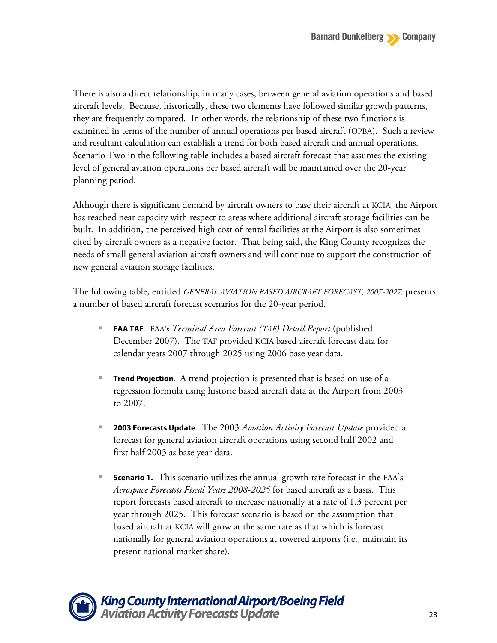There is also a direct relationship, in many cases, between general aviation operations and based aircraft levels. Because, historically, these two elements have followed similar growth patterns, they are frequently compared. In other words, the relationship of these two functions is examined in terms of the number of annual operations per based aircraft (OPBA). Such a review and resultant calculation can establish a trend for both based aircraft and annual operations. Scenario Two in the following table includes a based aircraft forecast that assumes the existing level of general aviation operations per based aircraft will be maintained over the 20-year planning period.

Although there is significant demand by aircraft owners to base their aircraft at KCIA, the Airport has reached near capacity with respect to areas where additional aircraft storage facilities can be built. In addition, the perceived high cost of rental facilities at the Airport is also sometimes cited by aircraft owners as a negative factor. That being said, the King County recognizes the needs of small general aviation aircraft owners and will continue to support the construction of new general aviation storage facilities.

The following table, entitled *GENERAL AVIATION BASED AIRCRAFT FORECAST, 2007-2027,* presents a number of based aircraft forecast scenarios for the 20-year period.

- **FAA TAF**. FAA's *Terminal Area Forecast (TAF) Detail Report* (published December 2007). The TAF provided KCIA based aircraft forecast data for calendar years 2007 through 2025 using 2006 base year data.
- **Trend Projection**. A trend projection is presented that is based on use of a regression formula using historic based aircraft data at the Airport from 2003 to 2007.
- **2003 Forecasts Update**. The 2003 *Aviation Activity Forecast Update* provided a forecast for general aviation aircraft operations using second half 2002 and first half 2003 as base year data.
- **Scenario 1.** This scenario utilizes the annual growth rate forecast in the FAA's *Aerospace Forecasts Fiscal Years 2008-2025* for based aircraft as a basis. This report forecasts based aircraft to increase nationally at a rate of 1.3 percent per year through 2025. This forecast scenario is based on the assumption that based aircraft at KCIA will grow at the same rate as that which is forecast nationally for general aviation operations at towered airports (i.e., maintain its present national market share).

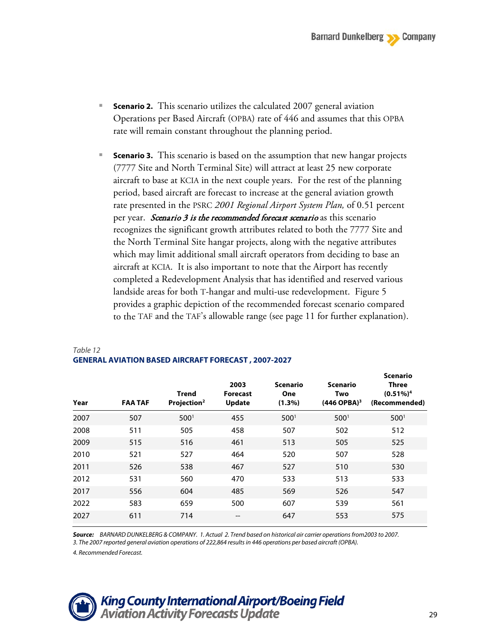- **Scenario 2.** This scenario utilizes the calculated 2007 general aviation Operations per Based Aircraft (OPBA) rate of 446 and assumes that this OPBA rate will remain constant throughout the planning period.
- **Scenario 3.** This scenario is based on the assumption that new hangar projects (7777 Site and North Terminal Site) will attract at least 25 new corporate aircraft to base at KCIA in the next couple years. For the rest of the planning period, based aircraft are forecast to increase at the general aviation growth rate presented in the PSRC *2001 Regional Airport System Plan,* of 0.51 percent per year. Scenario 3 is the recommended forecast scenario as this scenario recognizes the significant growth attributes related to both the 7777 Site and the North Terminal Site hangar projects, along with the negative attributes which may limit additional small aircraft operators from deciding to base an aircraft at KCIA. It is also important to note that the Airport has recently completed a Redevelopment Analysis that has identified and reserved various landside areas for both T-hangar and multi-use redevelopment. Figure 5 provides a graphic depiction of the recommended forecast scenario compared to the TAF and the TAF's allowable range (see page 11 for further explanation).

| Year | <b>FAA TAF</b> | <b>Trend</b><br>Projection <sup>2</sup> | 2003<br><b>Forecast</b><br><b>Update</b> | <b>Scenario</b><br><b>One</b><br>$(1.3\%)$ | <b>Scenario</b><br>Two<br>$(446$ OPBA) <sup>3</sup> | scenario<br>Three<br>$(0.51\%)4$<br>(Recommended) |
|------|----------------|-----------------------------------------|------------------------------------------|--------------------------------------------|-----------------------------------------------------|---------------------------------------------------|
| 2007 | 507            | 500 <sup>1</sup>                        | 455                                      | 500 <sup>1</sup>                           | 500 <sup>1</sup>                                    | 500 <sup>1</sup>                                  |
| 2008 | 511            | 505                                     | 458                                      | 507                                        | 502                                                 | 512                                               |
| 2009 | 515            | 516                                     | 461                                      | 513                                        | 505                                                 | 525                                               |
| 2010 | 521            | 527                                     | 464                                      | 520                                        | 507                                                 | 528                                               |
| 2011 | 526            | 538                                     | 467                                      | 527                                        | 510                                                 | 530                                               |
| 2012 | 531            | 560                                     | 470                                      | 533                                        | 513                                                 | 533                                               |
| 2017 | 556            | 604                                     | 485                                      | 569                                        | 526                                                 | 547                                               |
| 2022 | 583            | 659                                     | 500                                      | 607                                        | 539                                                 | 561                                               |
| 2027 | 611            | 714                                     | $- -$                                    | 647                                        | 553                                                 | 575                                               |
|      |                |                                         |                                          |                                            |                                                     |                                                   |

### *Table 12* **GENERAL AVIATION BASED AIRCRAFT FORECAST , 2007-2027**

*Source: BARNARD DUNKELBERG & COMPANY. 1. Actual 2. Trend based on historical air carrier operations from2003 to 2007.* 3. The 2007 reported general aviation operations of 222,864 results in 446 operations per based aircraft (OPBA).

*4. Recommended Forecast.*



**Scenario**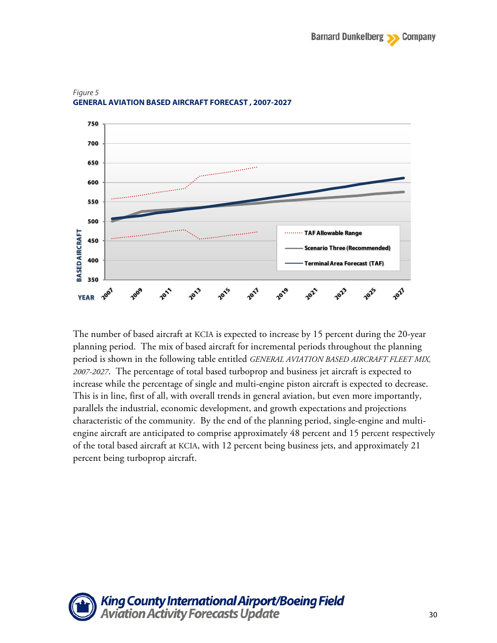

#### *Figure 5* **GENERAL AVIATION BASED AIRCRAFT FORECAST , 2007-2027**

The number of based aircraft at KCIA is expected to increase by 15 percent during the 20-year planning period. The mix of based aircraft for incremental periods throughout the planning period is shown in the following table entitled *GENERAL AVIATION BASED AIRCRAFT FLEET MIX, 2007-2027*. The percentage of total based turboprop and business jet aircraft is expected to increase while the percentage of single and multi-engine piston aircraft is expected to decrease. This is in line, first of all, with overall trends in general aviation, but even more importantly, parallels the industrial, economic development, and growth expectations and projections characteristic of the community. By the end of the planning period, single-engine and multiengine aircraft are anticipated to comprise approximately 48 percent and 15 percent respectively of the total based aircraft at KCIA, with 12 percent being business jets, and approximately 21 percent being turboprop aircraft.

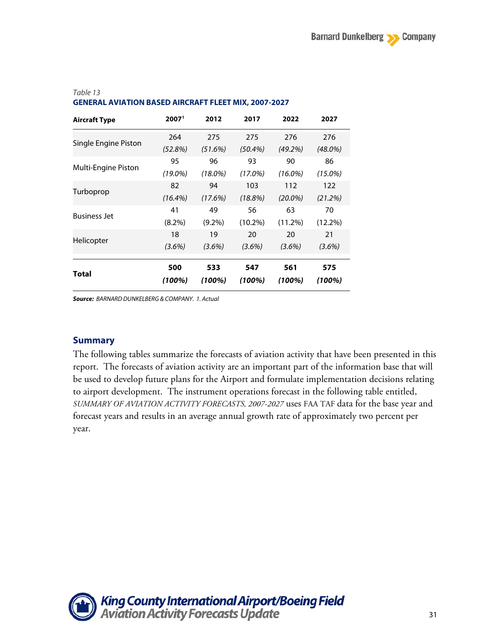| 2007 <sup>1</sup> | 2012          | 2017          | 2022          | 2027          |
|-------------------|---------------|---------------|---------------|---------------|
| 264               | 275           | 275           | 276           | 276           |
| (52.8%)           | (51.6%)       | $(50.4\%)$    | (49.2%)       | $(48.0\%)$    |
| 95                | 96            | 93            | 90            | 86            |
| $(19.0\%)$        | $(18.0\%)$    | $(17.0\%)$    | $(16.0\%)$    | $(15.0\%)$    |
| 82                | 94            | 103           | 112           | 122           |
| $(16.4\%)$        | (17.6%)       | $(18.8\%)$    | $(20.0\%)$    | (21.2%)       |
| 41                | 49            | 56            | 63            | 70            |
| $(8.2\%)$         | $(9.2\%)$     | $(10.2\%)$    | $(11.2\%)$    | $(12.2\%)$    |
| 18                | 19            | 20            | 20            | 21            |
| $(3.6\%)$         | $(3.6\%)$     | $(3.6\%)$     | $(3.6\%)$     | $(3.6\%)$     |
| 500<br>(100%)     | 533<br>(100%) | 547<br>(100%) | 561<br>(100%) | 575<br>(100%) |
|                   |               |               |               |               |

### *Table 13* **GENERAL AVIATION BASED AIRCRAFT FLEET MIX, 2007-2027**

*Source: BARNARD DUNKELBERG & COMPANY. 1. Actual*

### **Summary**

The following tables summarize the forecasts of aviation activity that have been presented in this report. The forecasts of aviation activity are an important part of the information base that will be used to develop future plans for the Airport and formulate implementation decisions relating to airport development. The instrument operations forecast in the following table entitled, *SUMMARY OF AVIATION ACTIVITY FORECASTS, 2007-2027* uses FAA TAF data for the base year and forecast years and results in an average annual growth rate of approximately two percent per year.

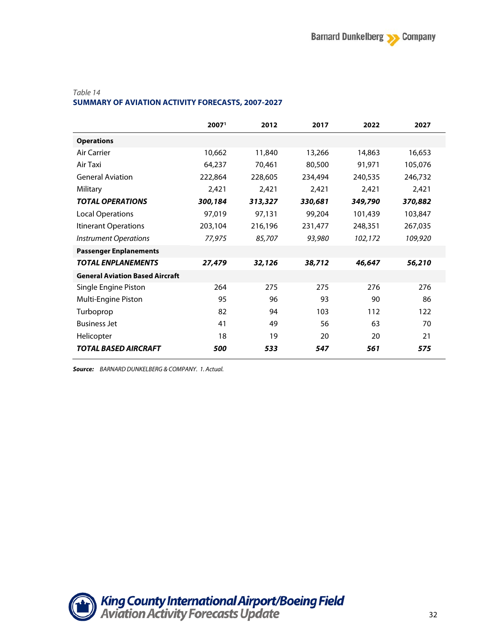#### *Table 14*

#### **SUMMARY OF AVIATION ACTIVITY FORECASTS, 2007-2027**

|                                        | 2007 <sup>1</sup> | 2012    | 2017    | 2022    | 2027    |
|----------------------------------------|-------------------|---------|---------|---------|---------|
| <b>Operations</b>                      |                   |         |         |         |         |
| Air Carrier                            | 10,662            | 11,840  | 13,266  | 14,863  | 16,653  |
| Air Taxi                               | 64,237            | 70,461  | 80,500  | 91,971  | 105,076 |
| <b>General Aviation</b>                | 222,864           | 228,605 | 234,494 | 240,535 | 246,732 |
| Military                               | 2,421             | 2,421   | 2,421   | 2,421   | 2,421   |
| <b>TOTAL OPERATIONS</b>                | 300,184           | 313,327 | 330,681 | 349,790 | 370,882 |
| <b>Local Operations</b>                | 97,019            | 97,131  | 99,204  | 101,439 | 103,847 |
| Itinerant Operations                   | 203,104           | 216,196 | 231,477 | 248,351 | 267,035 |
| <b>Instrument Operations</b>           | 77,975            | 85,707  | 93,980  | 102,172 | 109,920 |
| <b>Passenger Enplanements</b>          |                   |         |         |         |         |
| <b>TOTAL ENPLANEMENTS</b>              | 27,479            | 32,126  | 38,712  | 46,647  | 56,210  |
| <b>General Aviation Based Aircraft</b> |                   |         |         |         |         |
| Single Engine Piston                   | 264               | 275     | 275     | 276     | 276     |
| Multi-Engine Piston                    | 95                | 96      | 93      | 90      | 86      |
| Turboprop                              | 82                | 94      | 103     | 112     | 122     |
| <b>Business Jet</b>                    | 41                | 49      | 56      | 63      | 70      |
| Helicopter                             | 18                | 19      | 20      | 20      | 21      |
| TOTAL BASED AIRCRAFT                   | 500               | 533     | 547     | 561     | 575     |

*Source: BARNARD DUNKELBERG & COMPANY. 1. Actual.*

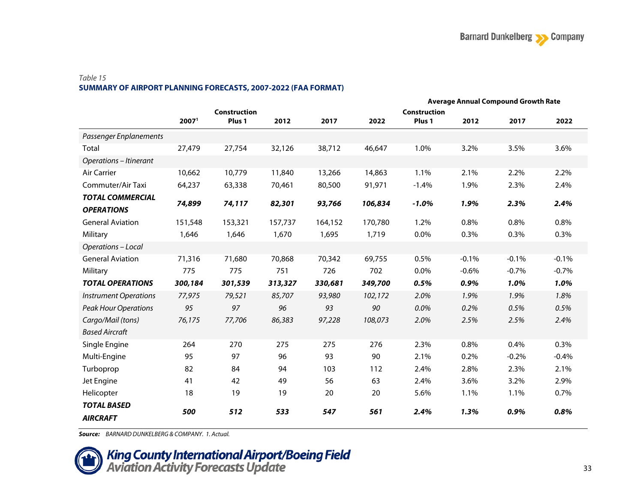#### *Table 15* **SUMMARY OF AIRPORT PLANNING FORECASTS, 2007-2022 (FAA FORMAT)**

|                                       |         |              |         | <b>Average Annual Compound Growth Rate</b> |         |              |         |         |         |
|---------------------------------------|---------|--------------|---------|--------------------------------------------|---------|--------------|---------|---------|---------|
|                                       |         | Construction |         |                                            |         | Construction |         |         |         |
|                                       | 20071   | Plus 1       | 2012    | 2017                                       | 2022    | Plus 1       | 2012    | 2017    | 2022    |
| Passenger Enplanements                |         |              |         |                                            |         |              |         |         |         |
| Total                                 | 27,479  | 27,754       | 32,126  | 38,712                                     | 46,647  | 1.0%         | 3.2%    | 3.5%    | 3.6%    |
| <b>Operations - Itinerant</b>         |         |              |         |                                            |         |              |         |         |         |
| <b>Air Carrier</b>                    | 10,662  | 10,779       | 11,840  | 13,266                                     | 14,863  | 1.1%         | 2.1%    | 2.2%    | 2.2%    |
| Commuter/Air Taxi                     | 64,237  | 63,338       | 70,461  | 80,500                                     | 91,971  | $-1.4%$      | 1.9%    | 2.3%    | 2.4%    |
| <b>TOTAL COMMERCIAL</b>               |         |              |         |                                            |         |              |         |         |         |
| <b>OPERATIONS</b>                     | 74,899  | 74,117       | 82,301  | 93,766                                     | 106,834 | $-1.0%$      | 1.9%    | 2.3%    | 2.4%    |
| <b>General Aviation</b>               | 151,548 | 153,321      | 157,737 | 164,152                                    | 170,780 | 1.2%         | 0.8%    | 0.8%    | 0.8%    |
| Military                              | 1,646   | 1,646        | 1,670   | 1,695                                      | 1,719   | 0.0%         | 0.3%    | 0.3%    | 0.3%    |
| Operations - Local                    |         |              |         |                                            |         |              |         |         |         |
| <b>General Aviation</b>               | 71,316  | 71,680       | 70,868  | 70,342                                     | 69,755  | 0.5%         | $-0.1%$ | $-0.1%$ | $-0.1%$ |
| Military                              | 775     | 775          | 751     | 726                                        | 702     | 0.0%         | $-0.6%$ | $-0.7%$ | $-0.7%$ |
| <b>TOTAL OPERATIONS</b>               | 300,184 | 301,539      | 313,327 | 330,681                                    | 349,700 | 0.5%         | 0.9%    | 1.0%    | 1.0%    |
| <b>Instrument Operations</b>          | 77,975  | 79,521       | 85,707  | 93,980                                     | 102,172 | 2.0%         | 1.9%    | 1.9%    | 1.8%    |
| <b>Peak Hour Operations</b>           | 95      | 97           | 96      | 93                                         | 90      | 0.0%         | 0.2%    | 0.5%    | 0.5%    |
| Cargo/Mail (tons)                     | 76,175  | 77,706       | 86,383  | 97,228                                     | 108,073 | 2.0%         | 2.5%    | 2.5%    | 2.4%    |
| <b>Based Aircraft</b>                 |         |              |         |                                            |         |              |         |         |         |
| Single Engine                         | 264     | 270          | 275     | 275                                        | 276     | 2.3%         | 0.8%    | 0.4%    | 0.3%    |
| Multi-Engine                          | 95      | 97           | 96      | 93                                         | 90      | 2.1%         | 0.2%    | $-0.2%$ | $-0.4%$ |
| Turboprop                             | 82      | 84           | 94      | 103                                        | 112     | 2.4%         | 2.8%    | 2.3%    | 2.1%    |
| Jet Engine                            | 41      | 42           | 49      | 56                                         | 63      | 2.4%         | 3.6%    | 3.2%    | 2.9%    |
| Helicopter                            | 18      | 19           | 19      | 20                                         | 20      | 5.6%         | 1.1%    | 1.1%    | 0.7%    |
| <b>TOTAL BASED</b><br><b>AIRCRAFT</b> | 500     | 512          | 533     | 547                                        | 561     | 2.4%         | 1.3%    | 0.9%    | 0.8%    |

*Source: BARNARD DUNKELBERG & COMPANY. 1. Actual.*

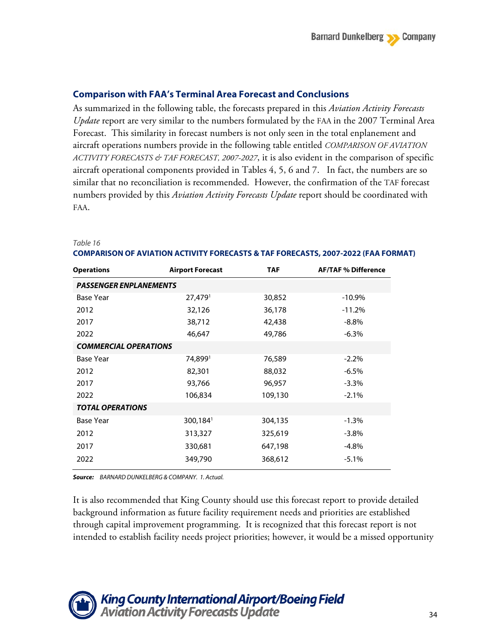### **Comparison with FAA's Terminal Area Forecast and Conclusions**

As summarized in the following table, the forecasts prepared in this *Aviation Activity Forecasts Update* report are very similar to the numbers formulated by the FAA in the 2007 Terminal Area Forecast. This similarity in forecast numbers is not only seen in the total enplanement and aircraft operations numbers provide in the following table entitled *COMPARISON OF AVIATION ACTIVITY FORECASTS & TAF FORECAST, 2007-2027*, it is also evident in the comparison of specific aircraft operational components provided in Tables 4, 5, 6 and 7. In fact, the numbers are so similar that no reconciliation is recommended. However, the confirmation of the TAF forecast numbers provided by this *Aviation Activity Forecasts Update* report should be coordinated with FAA.

| <b>Operations</b>             | <b>Airport Forecast</b> | <b>TAF</b> | <b>AF/TAF % Difference</b> |  |  |  |  |  |
|-------------------------------|-------------------------|------------|----------------------------|--|--|--|--|--|
| <b>PASSENGER ENPLANEMENTS</b> |                         |            |                            |  |  |  |  |  |
| Base Year                     | $27,479$ <sup>1</sup>   | 30,852     | $-10.9\%$                  |  |  |  |  |  |
| 2012                          | 32,126                  | 36,178     | $-11.2%$                   |  |  |  |  |  |
| 2017                          | 38,712                  | 42,438     | $-8.8\%$                   |  |  |  |  |  |
| 2022                          | 46,647                  | 49,786     | $-6.3\%$                   |  |  |  |  |  |
| <b>COMMERCIAL OPERATIONS</b>  |                         |            |                            |  |  |  |  |  |
| Base Year                     | 74,8991                 | 76,589     | $-2.2\%$                   |  |  |  |  |  |
| 2012                          | 82,301                  | 88,032     | $-6.5%$                    |  |  |  |  |  |
| 2017                          | 93,766                  | 96,957     | $-3.3\%$                   |  |  |  |  |  |
| 2022                          | 106,834                 | 109,130    | $-2.1%$                    |  |  |  |  |  |
| <b>TOTAL OPERATIONS</b>       |                         |            |                            |  |  |  |  |  |
| <b>Base Year</b>              | $300,184$ <sup>1</sup>  | 304,135    | $-1.3%$                    |  |  |  |  |  |
| 2012                          | 313,327                 | 325,619    | $-3.8\%$                   |  |  |  |  |  |
| 2017                          | 330,681                 | 647,198    | $-4.8\%$                   |  |  |  |  |  |
| 2022                          | 349,790                 | 368,612    | $-5.1\%$                   |  |  |  |  |  |

#### *Table 16*

**COMPARISON OF AVIATION ACTIVITY FORECASTS & TAF FORECASTS, 2007-2022 (FAA FORMAT)**

*Source: BARNARD DUNKELBERG & COMPANY. 1. Actual.*

It is also recommended that King County should use this forecast report to provide detailed background information as future facility requirement needs and priorities are established through capital improvement programming. It is recognized that this forecast report is not intended to establish facility needs project priorities; however, it would be a missed opportunity

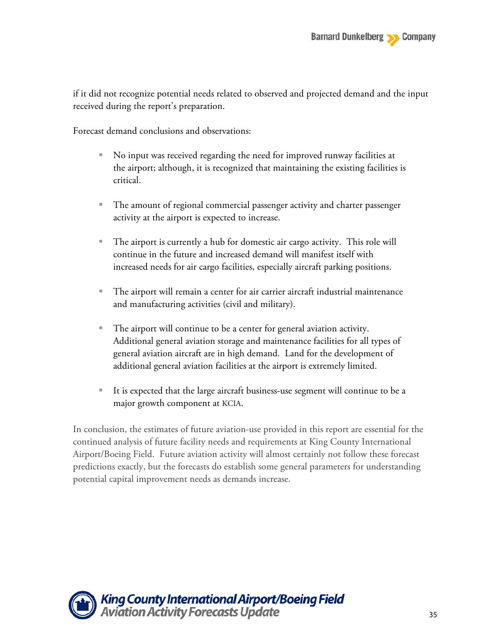if it did not recognize potential needs related to observed and projected demand and the input received during the report's preparation.

Forecast demand conclusions and observations:

- No input was received regarding the need for improved runway facilities at the airport; although, it is recognized that maintaining the existing facilities is critical.
- The amount of regional commercial passenger activity and charter passenger activity at the airport is expected to increase.
- The airport is currently a hub for domestic air cargo activity. This role will continue in the future and increased demand will manifest itself with increased needs for air cargo facilities, especially aircraft parking positions.
- The airport will remain a center for air carrier aircraft industrial maintenance and manufacturing activities (civil and military).
- The airport will continue to be a center for general aviation activity. Additional general aviation storage and maintenance facilities for all types of general aviation aircraft are in high demand. Land for the development of additional general aviation facilities at the airport is extremely limited.
- It is expected that the large aircraft business-use segment will continue to be a major growth component at KCIA.

In conclusion, the estimates of future aviation-use provided in this report are essential for the continued analysis of future facility needs and requirements at King County International Airport/Boeing Field. Future aviation activity will almost certainly not follow these forecast predictions exactly, but the forecasts do establish some general parameters for understanding potential capital improvement needs as demands increase.

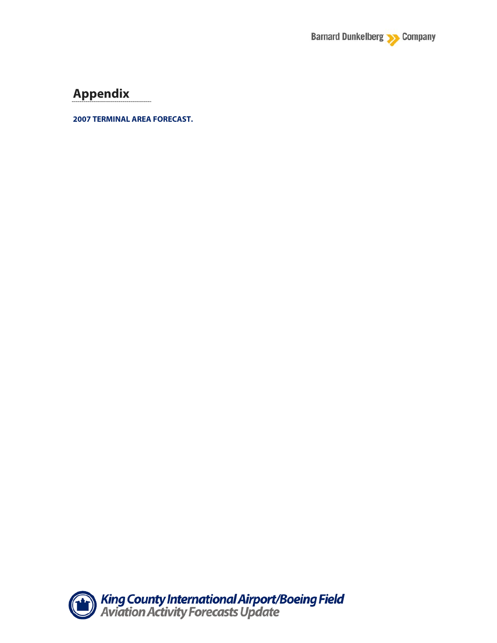

# **Appendix**

**2007 TERMINAL AREA FORECAST.**